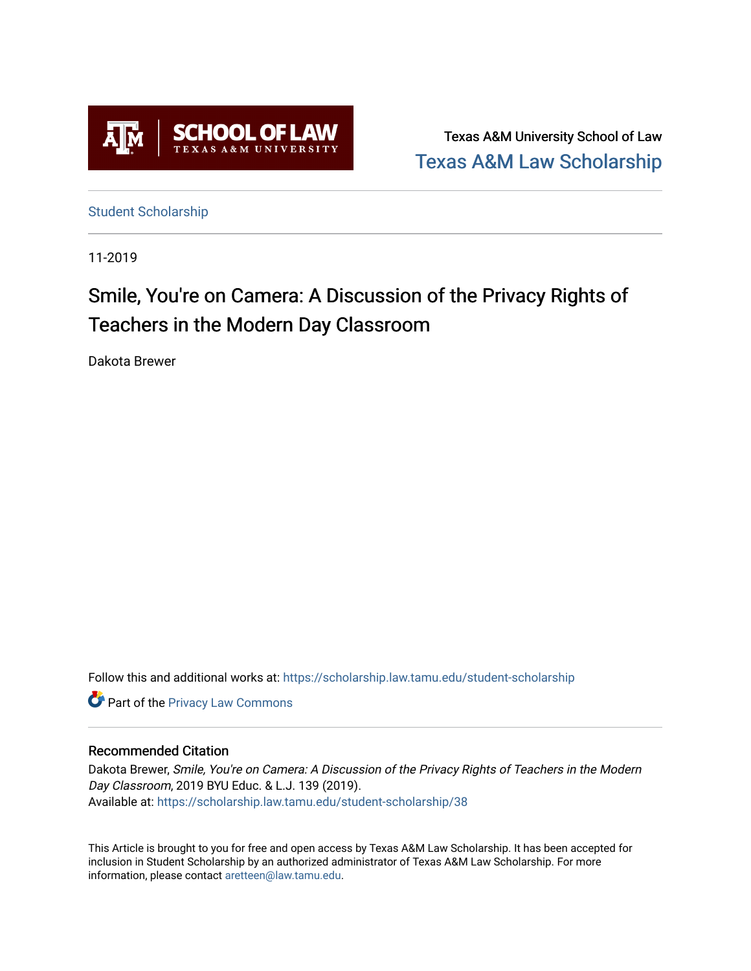

Texas A&M University School of Law [Texas A&M Law Scholarship](https://scholarship.law.tamu.edu/) 

[Student Scholarship](https://scholarship.law.tamu.edu/student-scholarship)

11-2019

# Smile, You're on Camera: A Discussion of the Privacy Rights of Teachers in the Modern Day Classroom

Dakota Brewer

Follow this and additional works at: [https://scholarship.law.tamu.edu/student-scholarship](https://scholarship.law.tamu.edu/student-scholarship?utm_source=scholarship.law.tamu.edu%2Fstudent-scholarship%2F38&utm_medium=PDF&utm_campaign=PDFCoverPages) 

**Part of the Privacy Law Commons** 

#### Recommended Citation

Dakota Brewer, Smile, You're on Camera: A Discussion of the Privacy Rights of Teachers in the Modern Day Classroom, 2019 BYU Educ. & L.J. 139 (2019). Available at: [https://scholarship.law.tamu.edu/student-scholarship/38](https://scholarship.law.tamu.edu/student-scholarship/38?utm_source=scholarship.law.tamu.edu%2Fstudent-scholarship%2F38&utm_medium=PDF&utm_campaign=PDFCoverPages) 

This Article is brought to you for free and open access by Texas A&M Law Scholarship. It has been accepted for inclusion in Student Scholarship by an authorized administrator of Texas A&M Law Scholarship. For more information, please contact [aretteen@law.tamu.edu](mailto:aretteen@law.tamu.edu).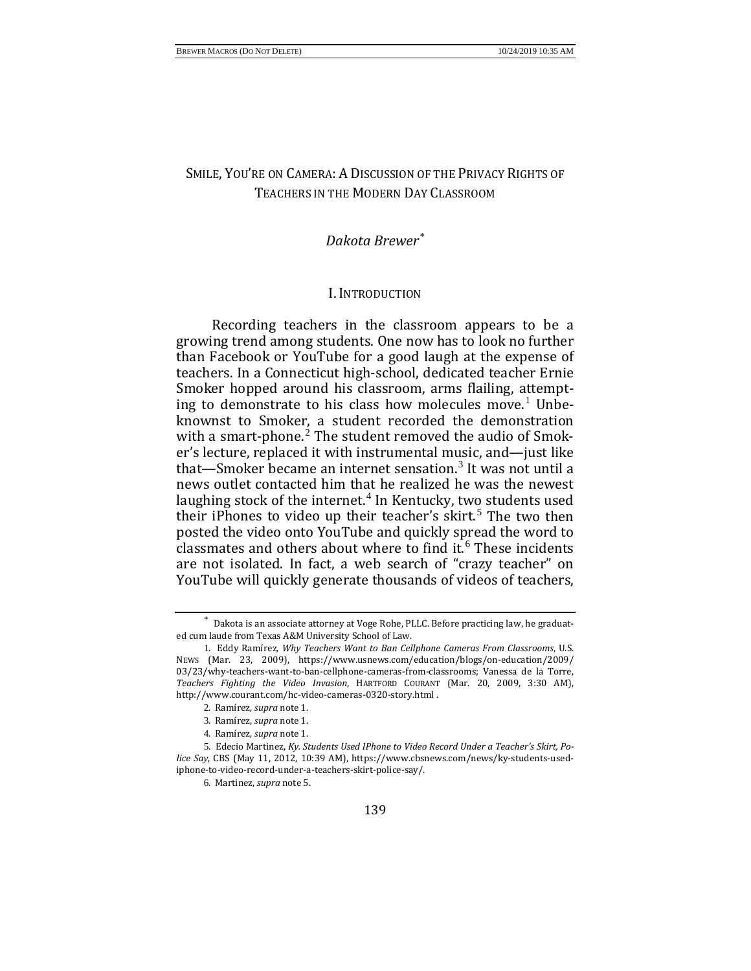## SMILE, YOU'RE ON CAMERA: A DISCUSSION OF THE PRIVACY RIGHTS OF TEACHERS IN THE MODERN DAY CLASSROOM

## *Dakota Brewer[\\*](#page-1-0)*

#### I. INTRODUCTION

Recording teachers in the classroom appears to be a growing trend among students. One now has to look no further than Facebook or YouTube for a good laugh at the expense of teachers. In a Connecticut high-school, dedicated teacher Ernie Smoker hopped around his classroom, arms flailing, attempt-ing to demonstrate to his class how molecules move.<sup>[1](#page-1-1)</sup> Unbeknownst to Smoker, a student recorded the demonstration with a smart-phone. $2$  The student removed the audio of Smoker's lecture, replaced it with instrumental music, and—just like that—Smoker became an internet sensation.<sup>[3](#page-1-3)</sup> It was not until a news outlet contacted him that he realized he was the newest laughing stock of the internet.<sup>[4](#page-1-4)</sup> In Kentucky, two students used their iPhones to video up their teacher's skirt.<sup>[5](#page-1-5)</sup> The two then posted the video onto YouTube and quickly spread the word to classmates and others about where to find it. $6$  These incidents are not isolated. In fact, a web search of "crazy teacher" on YouTube will quickly generate thousands of videos of teachers,

<span id="page-1-0"></span>Dakota is an associate attorney at Voge Rohe, PLLC. Before practicing law, he graduated cum laude from Texas A&M University School of Law.

<span id="page-1-1"></span><sup>1</sup>. Eddy Ramírez, *Why Teachers Want to Ban Cellphone Cameras From Classrooms*, U.S. NEWS (Mar. 23, 2009), https://www.usnews.com/education/blogs/on-education/2009/ 03/23/why-teachers-want-to-ban-cellphone-cameras-from-classrooms; Vanessa de la Torre, *Teachers Fighting the Video Invasion*, HARTFORD COURANT (Mar. 20, 2009, 3:30 AM), http://www.courant.com/hc-video-cameras-0320-story.html .

<sup>2</sup>. Ramírez, *supra* note 1.

<sup>3</sup>. Ramírez, *supra* note 1.

<sup>4</sup>. Ramírez, *supra* note 1.

<span id="page-1-6"></span><span id="page-1-5"></span><span id="page-1-4"></span><span id="page-1-3"></span><span id="page-1-2"></span><sup>5</sup>. Edecio Martinez, *Ky. Students Used IPhone to Video Record Under a Teacher's Skirt, Police Say*, CBS (May 11, 2012, 10:39 AM), https://www.cbsnews.com/news/ky-students-usediphone-to-video-record-under-a-teachers-skirt-police-say/.

<sup>6</sup>. Martinez, *supra* note 5.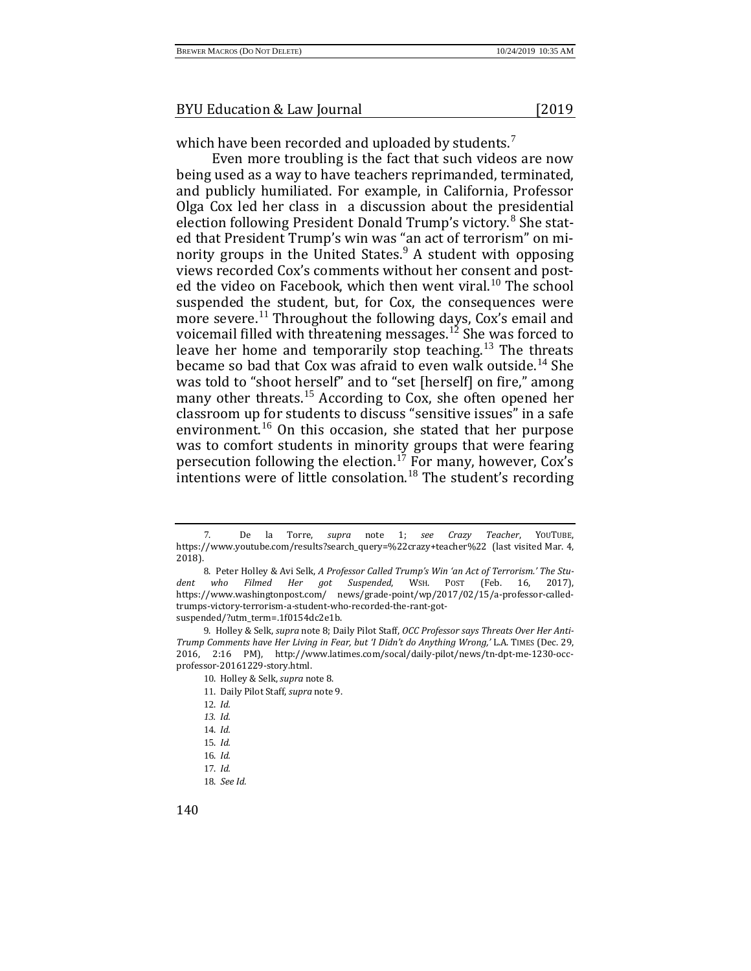which have been recorded and uploaded by students.<sup>[7](#page-2-0)</sup>

Even more troubling is the fact that such videos are now being used as a way to have teachers reprimanded, terminated, and publicly humiliated. For example, in California, Professor Olga Cox led her class in a discussion about the presidential election following President Donald Trump's victory.<sup>[8](#page-2-1)</sup> She stated that President Trump's win was "an act of terrorism" on minority groups in the United States. $9$  A student with opposing views recorded Cox's comments without her consent and post-ed the video on Facebook, which then went viral.<sup>[10](#page-2-3)</sup> The school suspended the student, but, for Cox, the consequences were more severe.<sup>[11](#page-2-4)</sup> Throughout the following days, Cox's email and voicemail filled with threatening messages.<sup>[12](#page-2-5)</sup> She was forced to leave her home and temporarily stop teaching.[13](#page-2-6) The threats became so bad that Cox was afraid to even walk outside.<sup>[14](#page-2-7)</sup> She was told to "shoot herself" and to "set [herself] on fire," among many other threats.<sup>[15](#page-2-8)</sup> According to Cox, she often opened her classroom up for students to discuss "sensitive issues" in a safe environment.[16](#page-2-9) On this occasion, she stated that her purpose was to comfort students in minority groups that were fearing persecution following the election.<sup>[17](#page-2-10)</sup> For many, however, Cox's intentions were of little consolation.[18](#page-2-11) The student's recording

- 14. *Id.*
- <span id="page-2-9"></span><span id="page-2-8"></span>15. *Id.*
- 16. *Id.*
- <span id="page-2-11"></span><span id="page-2-10"></span>17. *Id.*
- 18. *See Id.*

<span id="page-2-0"></span><sup>7</sup>. De la Torre, *supra* note 1; *see Crazy Teacher*, YOUTUBE, https://www.youtube.com/results?search\_query=%22crazy+teacher%22 (last visited Mar. 4, 2018).

<span id="page-2-1"></span><sup>8</sup>. Peter Holley & Avi Selk, *A Professor Called Trump's Win 'an Act of Terrorism.' The Stu*dent who Filmed Her got Suspended, https://www.washingtonpost.com/ news/grade-point/wp/2017/02/15/a-professor-calledtrumps-victory-terrorism-a-student-who-recorded-the-rant-gotsuspended/?utm\_term=.1f0154dc2e1b.

<span id="page-2-6"></span><span id="page-2-5"></span><span id="page-2-4"></span><span id="page-2-3"></span><span id="page-2-2"></span><sup>9</sup>. Holley & Selk, *supra* note 8; Daily Pilot Staff, *OCC Professor says Threats Over Her Anti-Trump Comments have Her Living in Fear, but 'I Didn't do Anything Wrong,'* L.A. TIMES (Dec. 29, 2016, 2:16 PM), http://www.latimes.com/socal/daily-pilot/news/tn-dpt-me-1230-occprofessor-20161229-story.html.

<sup>10</sup>. Holley & Selk, *supra* note 8.

<sup>11</sup>. Daily Pilot Staff, *supra* note 9.

<sup>12</sup>. *Id.*

<span id="page-2-7"></span>*<sup>13</sup>. Id.*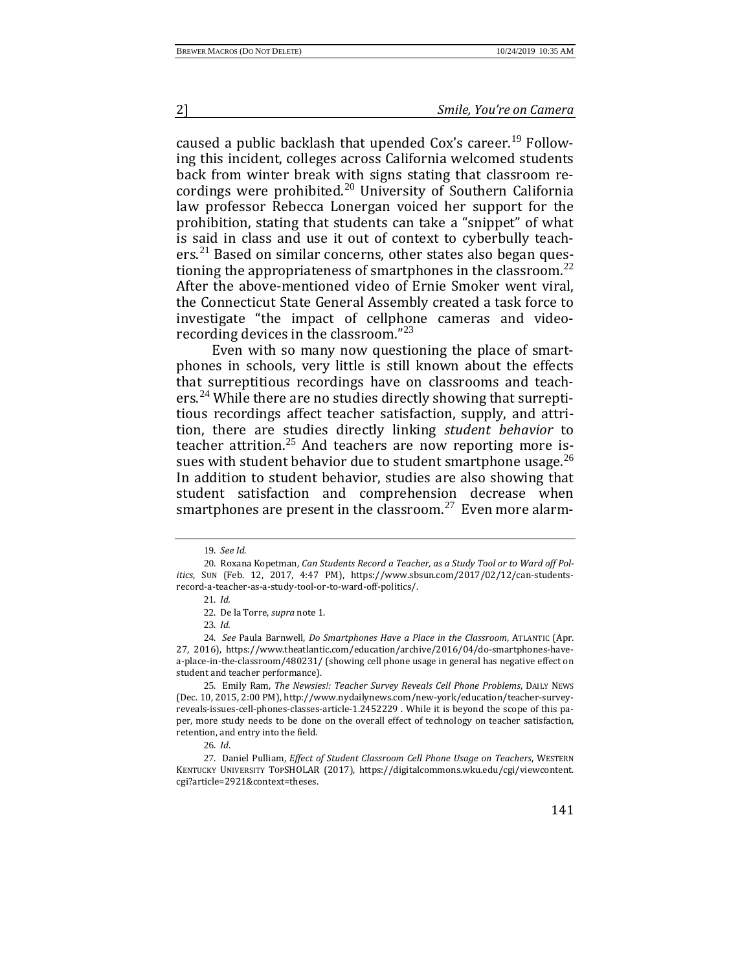caused a public backlash that upended Cox's career.<sup>[19](#page-3-0)</sup> Following this incident, colleges across California welcomed students back from winter break with signs stating that classroom re-cordings were prohibited.<sup>[20](#page-3-1)</sup> University of Southern California law professor Rebecca Lonergan voiced her support for the prohibition, stating that students can take a "snippet" of what is said in class and use it out of context to cyberbully teach-ers.<sup>[21](#page-3-2)</sup> Based on similar concerns, other states also began questioning the appropriateness of smartphones in the classroom. $^{22}$  $^{22}$  $^{22}$ After the above-mentioned video of Ernie Smoker went viral, the Connecticut State General Assembly created a task force to investigate "the impact of cellphone cameras and videorecording devices in the classroom."[23](#page-3-4)

Even with so many now questioning the place of smartphones in schools, very little is still known about the effects that surreptitious recordings have on classrooms and teachers.[24](#page-3-5) While there are no studies directly showing that surreptitious recordings affect teacher satisfaction, supply, and attrition, there are studies directly linking *student behavior* to teacher attrition.<sup>[25](#page-3-6)</sup> And teachers are now reporting more is-sues with student behavior due to student smartphone usage.<sup>[26](#page-3-7)</sup> In addition to student behavior, studies are also showing that student satisfaction and comprehension decrease when smartphones are present in the classroom.<sup>[27](#page-3-8)</sup> Even more alarm-

<sup>19</sup>. *See Id.*

<span id="page-3-2"></span><span id="page-3-1"></span><span id="page-3-0"></span><sup>20</sup>. Roxana Kopetman, *Can Students Record a Teacher, as a Study Tool or to Ward off Politics*, SUN (Feb. 12, 2017, 4:47 PM), https://www.sbsun.com/2017/02/12/can-studentsrecord-a-teacher-as-a-study-tool-or-to-ward-off-politics/.

<sup>21</sup>. *Id.*

<sup>22</sup>. De la Torre, *supra* note 1.

<sup>23</sup>. *Id.*

<span id="page-3-5"></span><span id="page-3-4"></span><span id="page-3-3"></span><sup>24</sup>. *See* Paula Barnwell, *Do Smartphones Have a Place in the Classroom*, ATLANTIC (Apr. 27, 2016), https://www.theatlantic.com/education/archive/2016/04/do-smartphones-havea-place-in-the-classroom/480231/ (showing cell phone usage in general has negative effect on student and teacher performance).

<span id="page-3-6"></span><sup>25</sup>. Emily Ram, *The Newsies!: Teacher Survey Reveals Cell Phone Problems*, DAILY NEWS (Dec. 10, 2015, 2:00 PM), http://www.nydailynews.com/new-york/education/teacher-surveyreveals-issues-cell-phones-classes-article-1.2452229 . While it is beyond the scope of this paper, more study needs to be done on the overall effect of technology on teacher satisfaction, retention, and entry into the field.

<sup>26</sup>. *Id*.

<span id="page-3-8"></span><span id="page-3-7"></span><sup>27</sup>. Daniel Pulliam, *Effect of Student Classroom Cell Phone Usage on Teachers*, WESTERN KENTUCKY UNIVERSITY TOPSHOLAR (2017), https://digitalcommons.wku.edu/cgi/viewcontent. cgi?article=2921&context=theses.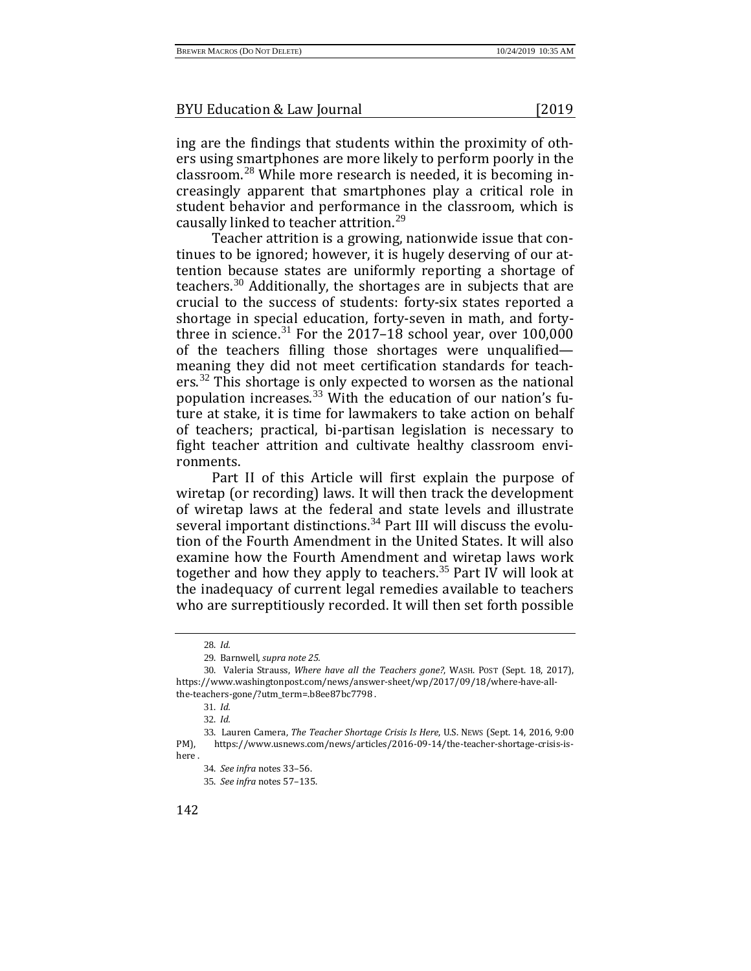ing are the findings that students within the proximity of others using smartphones are more likely to perform poorly in the classroom.[28](#page-4-0) While more research is needed, it is becoming increasingly apparent that smartphones play a critical role in student behavior and performance in the classroom, which is causally linked to teacher attrition.[29](#page-4-1)

Teacher attrition is a growing, nationwide issue that continues to be ignored; however, it is hugely deserving of our attention because states are uniformly reporting a shortage of teachers.[30](#page-4-2) Additionally, the shortages are in subjects that are crucial to the success of students: forty-six states reported a shortage in special education, forty-seven in math, and forty-three in science.<sup>[31](#page-4-3)</sup> For the 2017–18 school year, over  $100,000$ of the teachers filling those shortages were unqualified meaning they did not meet certification standards for teach-ers.<sup>[32](#page-4-4)</sup> This shortage is only expected to worsen as the national population increases.<sup>[33](#page-4-5)</sup> With the education of our nation's future at stake, it is time for lawmakers to take action on behalf of teachers; practical, bi-partisan legislation is necessary to fight teacher attrition and cultivate healthy classroom environments.

Part II of this Article will first explain the purpose of wiretap (or recording) laws. It will then track the development of wiretap laws at the federal and state levels and illustrate several important distinctions.<sup>[34](#page-4-6)</sup> Part III will discuss the evolution of the Fourth Amendment in the United States. It will also examine how the Fourth Amendment and wiretap laws work together and how they apply to teachers.<sup>[35](#page-4-7)</sup> Part IV will look at the inadequacy of current legal remedies available to teachers who are surreptitiously recorded. It will then set forth possible

32. *Id.*

<sup>28</sup>. *Id.*

<sup>29</sup>. Barnwell*, supra note 25.*

<span id="page-4-2"></span><span id="page-4-1"></span><span id="page-4-0"></span><sup>30</sup>. Valeria Strauss, *Where have all the Teachers gone?*, WASH. POST (Sept. 18, 2017), https://www.washingtonpost.com/news/answer-sheet/wp/2017/09/18/where-have-allthe-teachers-gone/?utm\_term=.b8ee87bc7798 .

<sup>31</sup>. *Id.*

<span id="page-4-7"></span><span id="page-4-6"></span><span id="page-4-5"></span><span id="page-4-4"></span><span id="page-4-3"></span><sup>33</sup>. Lauren Camera, *The Teacher Shortage Crisis Is Here*, U.S. NEWS (Sept. 14, 2016, 9:00 PM), https://www.usnews.com/news/articles/2016-09-14/the-teacher-shortage-crisis-ishere .

<sup>34</sup>. *See infra* notes 33–56.

<sup>35</sup>. *See infra* notes 57–135.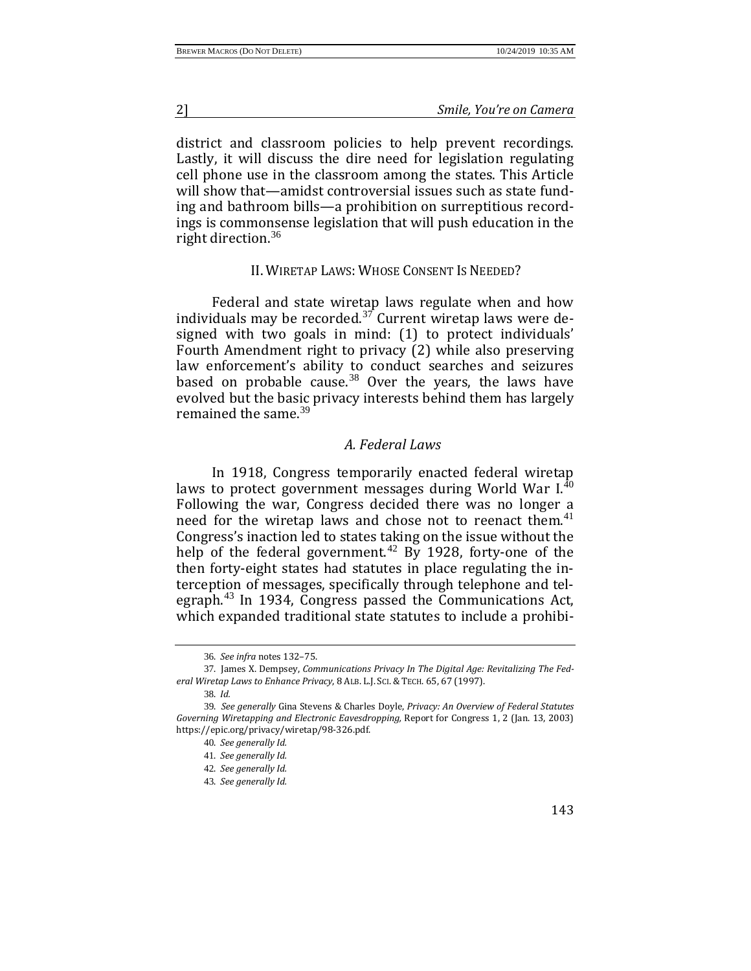district and classroom policies to help prevent recordings. Lastly, it will discuss the dire need for legislation regulating cell phone use in the classroom among the states. This Article will show that—amidst controversial issues such as state funding and bathroom bills—a prohibition on surreptitious recordings is commonsense legislation that will push education in the right direction.[36](#page-5-0)

#### II. WIRETAP LAWS: WHOSE CONSENT IS NEEDED?

Federal and state wiretap laws regulate when and how individuals may be recorded.[37](#page-5-1) Current wiretap laws were designed with two goals in mind: (1) to protect individuals' Fourth Amendment right to privacy (2) while also preserving law enforcement's ability to conduct searches and seizures based on probable cause.<sup>[38](#page-5-2)</sup> Over the years, the laws have evolved but the basic privacy interests behind them has largely remained the same.<sup>[39](#page-5-3)</sup>

#### *A. Federal Laws*

In 1918, Congress temporarily enacted federal wiretap laws to protect government messages during World War  $I<sup>40</sup>$  $I<sup>40</sup>$  $I<sup>40</sup>$ Following the war, Congress decided there was no longer a need for the wiretap laws and chose not to reenact them. $41$ Congress's inaction led to states taking on the issue without the help of the federal government.<sup>[42](#page-5-6)</sup> By 1928, forty-one of the then forty-eight states had statutes in place regulating the interception of messages, specifically through telephone and telegraph.[43](#page-5-7) In 1934, Congress passed the Communications Act, which expanded traditional state statutes to include a prohibi-

43. *See generally Id.*

<sup>36</sup>. *See infra* notes 132–75.

<span id="page-5-1"></span><span id="page-5-0"></span><sup>37</sup>. James X. Dempsey, *Communications Privacy In The Digital Age: Revitalizing The Federal Wiretap Laws to Enhance Privacy*, 8 ALB. L.J. SCI. &TECH. 65, 67 (1997).

<sup>38</sup>. *Id.*

<span id="page-5-7"></span><span id="page-5-6"></span><span id="page-5-5"></span><span id="page-5-4"></span><span id="page-5-3"></span><span id="page-5-2"></span><sup>39</sup>. *See generally* Gina Stevens & Charles Doyle, *Privacy: An Overview of Federal Statutes Governing Wiretapping and Electronic Eavesdropping,* Report for Congress 1, 2 (Jan. 13, 2003) https://epic.org/privacy/wiretap/98-326.pdf.

<sup>40</sup>. *See generally Id.*

<sup>41</sup>. *See generally Id.*

<sup>42</sup>. *See generally Id.*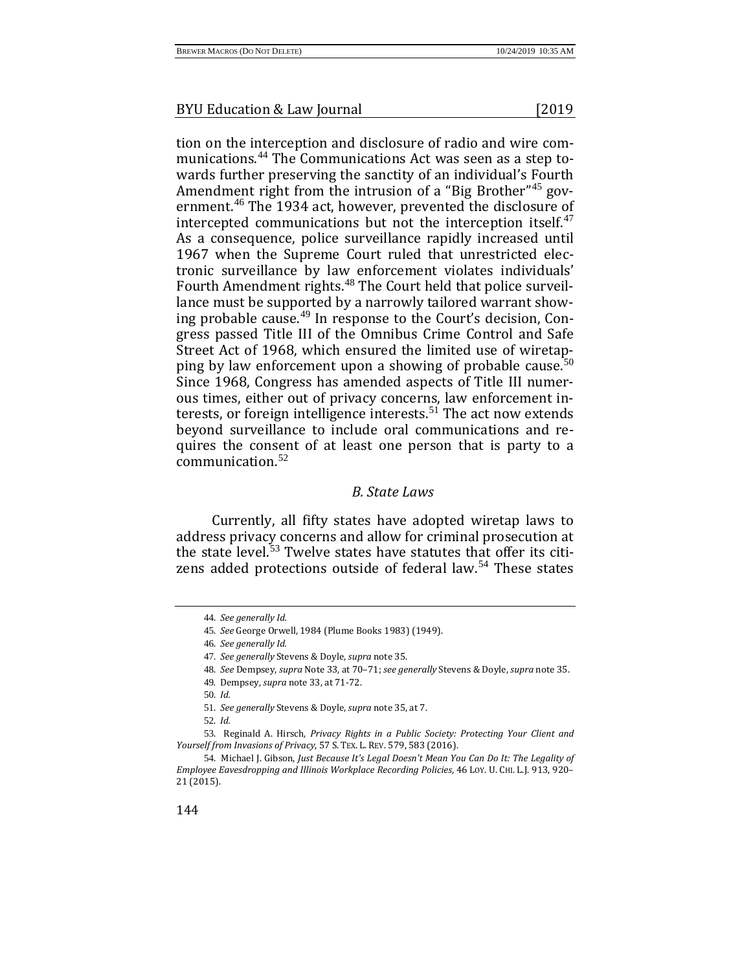tion on the interception and disclosure of radio and wire communications.[44](#page-6-0) The Communications Act was seen as a step towards further preserving the sanctity of an individual's Fourth Amendment right from the intrusion of a "Big Brother"<sup>[45](#page-6-1)</sup> government.[46](#page-6-2) The 1934 act, however, prevented the disclosure of intercepted communications but not the interception itself. $47$ As a consequence, police surveillance rapidly increased until 1967 when the Supreme Court ruled that unrestricted electronic surveillance by law enforcement violates individuals' Fourth Amendment rights.<sup>[48](#page-6-4)</sup> The Court held that police surveillance must be supported by a narrowly tailored warrant showing probable cause.[49](#page-6-5) In response to the Court's decision, Congress passed Title III of the Omnibus Crime Control and Safe Street Act of 1968, which ensured the limited use of wiretap-ping by law enforcement upon a showing of probable cause.<sup>[50](#page-6-6)</sup> Since 1968, Congress has amended aspects of Title III numerous times, either out of privacy concerns, law enforcement in-terests, or foreign intelligence interests.<sup>[51](#page-6-7)</sup> The act now extends beyond surveillance to include oral communications and requires the consent of at least one person that is party to a communication.[52](#page-6-8)

#### *B. State Laws*

<span id="page-6-0"></span>Currently, all fifty states have adopted wiretap laws to address privacy concerns and allow for criminal prosecution at the state level.<sup>[53](#page-6-9)</sup> Twelve states have statutes that offer its citi-zens added protections outside of federal law.<sup>[54](#page-6-10)</sup> These states

50. *Id.*

51. *See generally* Stevens & Doyle, *supra* note 35, at 7.

52. *Id.* 

<sup>44</sup>. *See generally Id.*

<span id="page-6-1"></span><sup>45</sup>. *See* George Orwell, 1984 (Plume Books 1983) (1949).

<sup>46</sup>. *See generally Id.*

<sup>47</sup>. *See generally* Stevens & Doyle, *supra* note 35.

<sup>48</sup>. *See* Dempsey, *supra* Note 33, at 70–71; *see generally* Stevens & Doyle, *supra* note 35.

<sup>49</sup>*.* Dempsey, *supra* note 33, at 71-72.

<span id="page-6-9"></span><span id="page-6-8"></span><span id="page-6-7"></span><span id="page-6-6"></span><span id="page-6-5"></span><span id="page-6-4"></span><span id="page-6-3"></span><span id="page-6-2"></span><sup>53</sup>. Reginald A. Hirsch, *Privacy Rights in a Public Society: Protecting Your Client and Yourself from Invasions of Privacy*, 57 S. TEX. L. REV. 579, 583 (2016).

<span id="page-6-10"></span><sup>54</sup>. Michael J. Gibson, *Just Because It's Legal Doesn't Mean You Can Do It: The Legality of Employee Eavesdropping and Illinois Workplace Recording Policies*, 46 LOY. U. CHI. L.J. 913, 920– 21 (2015).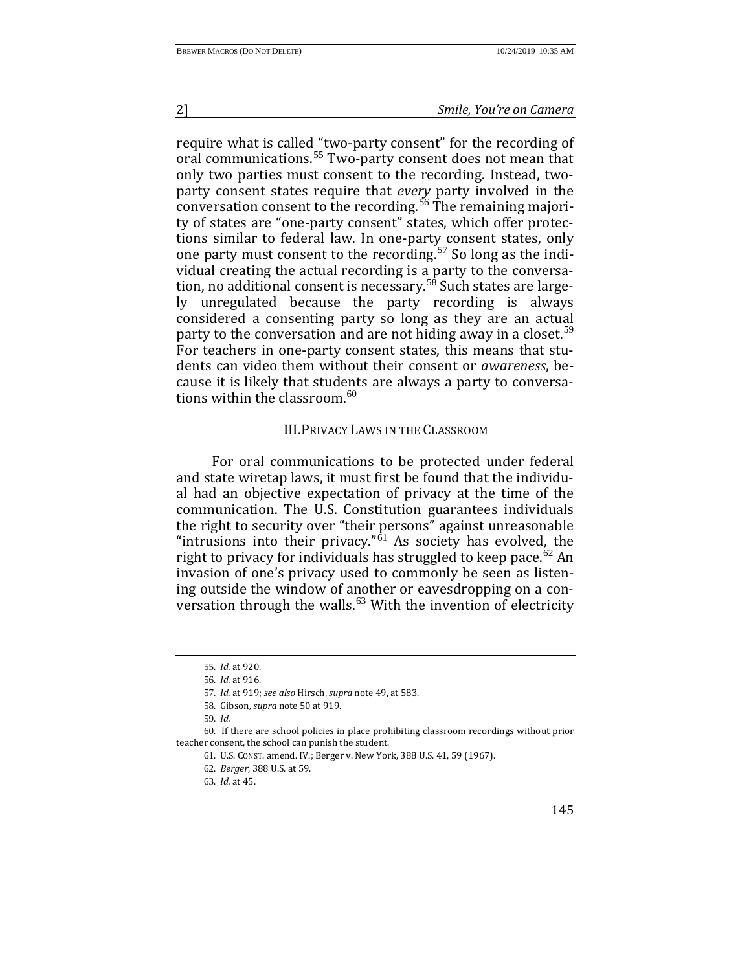require what is called "two-party consent" for the recording of oral communications.<sup>[55](#page-7-0)</sup> Two-party consent does not mean that only two parties must consent to the recording. Instead, twoparty consent states require that *every* party involved in the conversation consent to the recording.<sup>[56](#page-7-1)</sup> The remaining majority of states are "one-party consent" states, which offer protections similar to federal law. In one-party consent states, only one party must consent to the recording.<sup>[57](#page-7-2)</sup> So long as the individual creating the actual recording is a party to the conversa-tion, no additional consent is necessary.<sup>[58](#page-7-3)</sup> Such states are largely unregulated because the party recording is always considered a consenting party so long as they are an actual party to the conversation and are not hiding away in a closet.<sup>[59](#page-7-4)</sup> For teachers in one-party consent states, this means that students can video them without their consent or *awareness*, because it is likely that students are always a party to conversations within the classroom. $60$ 

#### III.PRIVACY LAWS IN THE CLASSROOM

For oral communications to be protected under federal and state wiretap laws, it must first be found that the individual had an objective expectation of privacy at the time of the communication. The U.S. Constitution guarantees individuals the right to security over "their persons" against unreasonable "intrusions into their privacy." $\frac{1}{61}$  $\frac{1}{61}$  $\frac{1}{61}$  As society has evolved, the right to privacy for individuals has struggled to keep pace.<sup>[62](#page-7-7)</sup> An invasion of one's privacy used to commonly be seen as listening outside the window of another or eavesdropping on a conversation through the walls. $63$  With the invention of electricity

<sup>55</sup>. *Id.* at 920.

<sup>56</sup>. *Id.* at 916.

<sup>57</sup>. *Id.* at 919; *see also* Hirsch, *supra* note 49, at 583.

<sup>58</sup>. Gibson, *supra* note 50 at 919.

<sup>59</sup>. *Id.*

<span id="page-7-8"></span><span id="page-7-7"></span><span id="page-7-6"></span><span id="page-7-5"></span><span id="page-7-4"></span><span id="page-7-3"></span><span id="page-7-2"></span><span id="page-7-1"></span><span id="page-7-0"></span><sup>60</sup>. If there are school policies in place prohibiting classroom recordings without prior teacher consent, the school can punish the student.

<sup>61</sup>. U.S. CONST. amend. IV.; Berger v. New York, 388 U.S. 41, 59 (1967).

<sup>62</sup>. *Berger*, 388 U.S. at 59.

<sup>63</sup>. *Id.* at 45.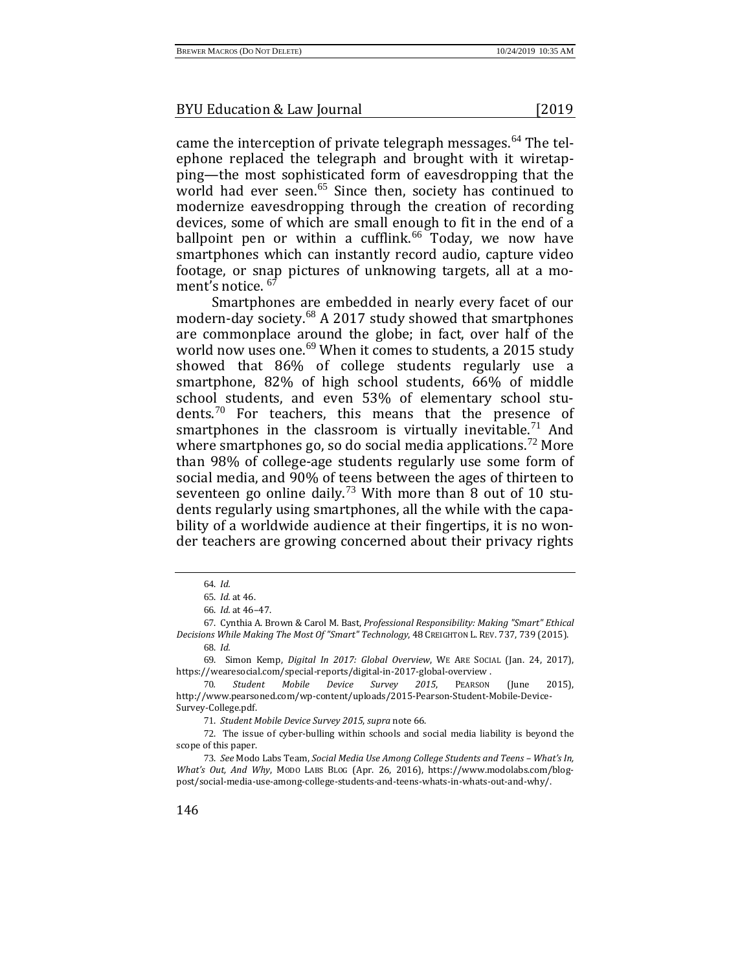came the interception of private telegraph messages.<sup>[64](#page-8-0)</sup> The telephone replaced the telegraph and brought with it wiretapping—the most sophisticated form of eavesdropping that the world had ever seen.<sup>[65](#page-8-1)</sup> Since then, society has continued to modernize eavesdropping through the creation of recording devices, some of which are small enough to fit in the end of a ballpoint pen or within a cufflink. $66$  Today, we now have smartphones which can instantly record audio, capture video footage, or snap pictures of unknowing targets, all at a mo-ment's notice. <sup>[67](#page-8-3)</sup>

Smartphones are embedded in nearly every facet of our modern-day society.[68](#page-8-4) A 2017 study showed that smartphones are commonplace around the globe; in fact, over half of the world now uses one.<sup>[69](#page-8-5)</sup> When it comes to students, a 2015 study showed that 86% of college students regularly use a smartphone, 82% of high school students, 66% of middle school students, and even 53% of elementary school stu-dents.<sup>[70](#page-8-6)</sup> For teachers, this means that the presence of smartphones in the classroom is virtually inevitable.<sup>[71](#page-8-7)</sup> And where smartphones go, so do social media applications.<sup>[72](#page-8-8)</sup> More than 98% of college-age students regularly use some form of social media, and 90% of teens between the ages of thirteen to seventeen go online daily.<sup>[73](#page-8-9)</sup> With more than  $\overline{8}$  out of 10 students regularly using smartphones, all the while with the capability of a worldwide audience at their fingertips, it is no wonder teachers are growing concerned about their privacy rights

68. *Id.*

<span id="page-8-5"></span><span id="page-8-4"></span>69. Simon Kemp, *Digital In 2017: Global Overview*, WE ARE SOCIAL (Jan. 24, 2017), https://wearesocial.com/special-reports/digital-in-2017-global-overview .<br>70. Student Mobile Device Survey 2015. PEARSON

<span id="page-8-6"></span>70*. Student Mobile Device Survey 2015*, PEARSON (June 2015), http://www.pearsoned.com/wp-content/uploads/2015-Pearson-Student-Mobile-Device-Survey-College.pdf.

71. *Student Mobile Device Survey 2015*, *supra* note 66.

<span id="page-8-8"></span><span id="page-8-7"></span>72. The issue of cyber-bulling within schools and social media liability is beyond the scope of this paper.

<span id="page-8-9"></span>73. *See* Modo Labs Team, *Social Media Use Among College Students and Teens – What's In, What's Out, And Why*, MODO LABS BLOG (Apr. 26, 2016), https://www.modolabs.com/blogpost/social-media-use-among-college-students-and-teens-whats-in-whats-out-and-why/.

<sup>64</sup>. *Id.*

<sup>65</sup>. *Id.* at 46.

<sup>66</sup>. *Id.* at 46–47.

<span id="page-8-3"></span><span id="page-8-2"></span><span id="page-8-1"></span><span id="page-8-0"></span><sup>67</sup>. Cynthia A. Brown & Carol M. Bast, *Professional Responsibility: Making "Smart" Ethical Decisions While Making The Most Of "Smart" Technology*, 48 CREIGHTON L. REV. 737, 739 (2015).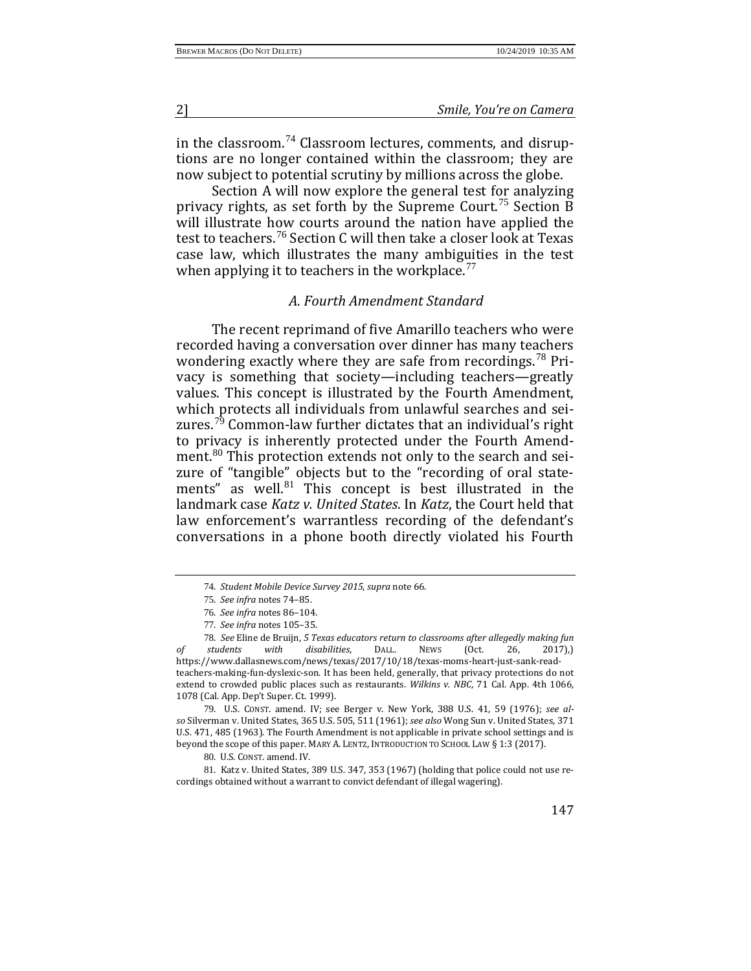in the classroom.[74](#page-9-0) Classroom lectures, comments, and disruptions are no longer contained within the classroom; they are now subject to potential scrutiny by millions across the globe.

Section A will now explore the general test for analyzing privacy rights, as set forth by the Supreme Court.<sup>[75](#page-9-1)</sup> Section B will illustrate how courts around the nation have applied the test to teachers.<sup>[76](#page-9-2)</sup> Section C will then take a closer look at Texas case law, which illustrates the many ambiguities in the test when applying it to teachers in the workplace.<sup>[77](#page-9-3)</sup>

#### *A. Fourth Amendment Standard*

The recent reprimand of five Amarillo teachers who were recorded having a conversation over dinner has many teachers wondering exactly where they are safe from recordings.<sup>[78](#page-9-4)</sup> Privacy is something that society—including teachers—greatly values. This concept is illustrated by the Fourth Amendment, which protects all individuals from unlawful searches and sei-zures.<sup>[79](#page-9-5)</sup> Common-law further dictates that an individual's right to privacy is inherently protected under the Fourth Amend-ment.<sup>[80](#page-9-6)</sup> This protection extends not only to the search and seizure of "tangible" objects but to the "recording of oral statements" as well. $81$  This concept is best illustrated in the landmark case *Katz v. United States*. In *Katz*, the Court held that law enforcement's warrantless recording of the defendant's conversations in a phone booth directly violated his Fourth

<span id="page-9-5"></span>79. U.S. CONST. amend. IV; see Berger v. New York, 388 U.S. 41, 59 (1976); *see also* Silverman v. United States, 365 U.S. 505, 511 (1961); *see also* Wong Sun v. United States, 371 U.S. 471, 485 (1963). The Fourth Amendment is not applicable in private school settings and is beyond the scope of this paper. MARY A. LENTZ, INTRODUCTION TO SCHOOL LAW § 1:3 (2017).

80. U.S. CONST. amend. IV.

<span id="page-9-7"></span><span id="page-9-6"></span>81. Katz v. United States, 389 U.S. 347, 353 (1967) (holding that police could not use recordings obtained without a warrant to convict defendant of illegal wagering).

<sup>74</sup>. *Student Mobile Device Survey 2015*, *supra* note 66.

<sup>75</sup>. *See infra* notes 74–85.

<sup>76</sup>. *See infra* notes 86–104.

<sup>77</sup>. *See infra* notes 105–35.

<span id="page-9-4"></span><span id="page-9-3"></span><span id="page-9-2"></span><span id="page-9-1"></span><span id="page-9-0"></span><sup>78</sup>. *See* Eline de Bruijn, *5 Texas educators return to classrooms after allegedly making fun of students with disabilities*, DALL. NEWS (Oct. 26, 2017),) https://www.dallasnews.com/news/texas/2017/10/18/texas-moms-heart-just-sank-readteachers-making-fun-dyslexic-son. It has been held, generally, that privacy protections do not extend to crowded public places such as restaurants. *Wilkins v. NBC*, 71 Cal. App. 4th 1066, 1078 (Cal. App. Dep't Super. Ct. 1999).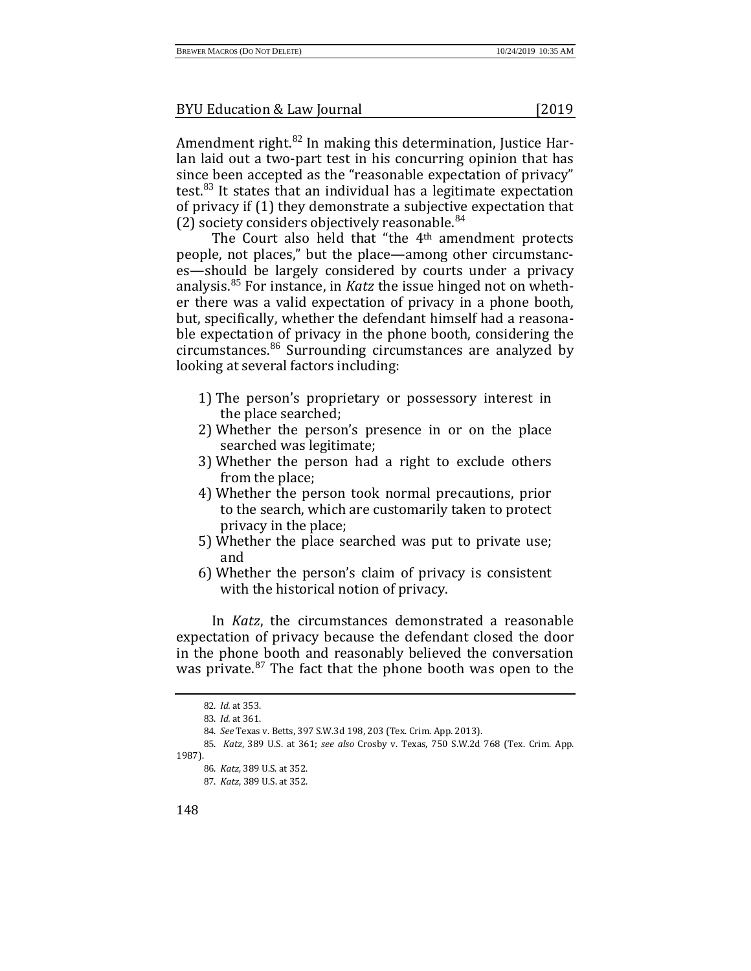Amendment right.<sup>[82](#page-10-0)</sup> In making this determination, Justice Harlan laid out a two-part test in his concurring opinion that has since been accepted as the "reasonable expectation of privacy" test. $83$  It states that an individual has a legitimate expectation of privacy if (1) they demonstrate a subjective expectation that (2) society considers objectively reasonable. $84$ 

The Court also held that "the 4th amendment protects people, not places," but the place—among other circumstances—should be largely considered by courts under a privacy analysis.[85](#page-10-3) For instance, in *Katz* the issue hinged not on whether there was a valid expectation of privacy in a phone booth, but, specifically, whether the defendant himself had a reasonable expectation of privacy in the phone booth, considering the circumstances.[86](#page-10-4) Surrounding circumstances are analyzed by looking at several factors including:

- 1) The person's proprietary or possessory interest in the place searched;
- 2) Whether the person's presence in or on the place searched was legitimate;
- 3) Whether the person had a right to exclude others from the place;
- 4) Whether the person took normal precautions, prior to the search, which are customarily taken to protect privacy in the place;
- 5) Whether the place searched was put to private use; and
- 6) Whether the person's claim of privacy is consistent with the historical notion of privacy.

In *Katz*, the circumstances demonstrated a reasonable expectation of privacy because the defendant closed the door in the phone booth and reasonably believed the conversation was private.<sup>[87](#page-10-5)</sup> The fact that the phone booth was open to the

<sup>82</sup>. *Id.* at 353.

<sup>83</sup>. *Id.* at 361.

<sup>84</sup>. *See* Texas v. Betts, 397 S.W.3d 198, 203 (Tex. Crim. App. 2013).

<span id="page-10-5"></span><span id="page-10-4"></span><span id="page-10-3"></span><span id="page-10-2"></span><span id="page-10-1"></span><span id="page-10-0"></span><sup>85</sup>. *Katz*, 389 U.S. at 361; *see also* Crosby v. Texas, 750 S.W.2d 768 (Tex. Crim. App. 1987).

<sup>86</sup>. *Katz,* 389 U.S. at 352.

<sup>87</sup>. *Katz*, 389 U.S. at 352.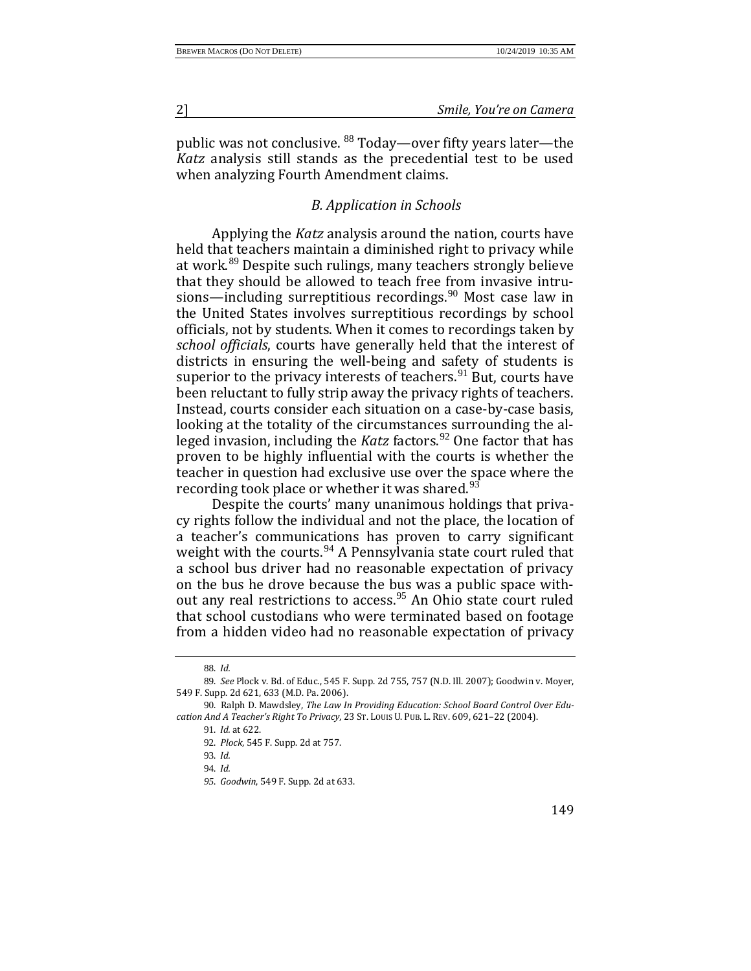public was not conclusive. <sup>[88](#page-11-0)</sup> Today—over fifty years later—the *Katz* analysis still stands as the precedential test to be used when analyzing Fourth Amendment claims.

# *B. Application in Schools*

Applying the *Katz* analysis around the nation, courts have held that teachers maintain a diminished right to privacy while at work.[89](#page-11-1) Despite such rulings, many teachers strongly believe that they should be allowed to teach free from invasive intrusions—including surreptitious recordings. $90$  Most case law in the United States involves surreptitious recordings by school officials, not by students. When it comes to recordings taken by *school officials*, courts have generally held that the interest of districts in ensuring the well-being and safety of students is superior to the privacy interests of teachers. $91$  But, courts have been reluctant to fully strip away the privacy rights of teachers. Instead, courts consider each situation on a case-by-case basis, looking at the totality of the circumstances surrounding the alleged invasion, including the *Katz* factors.<sup>[92](#page-11-4)</sup> One factor that has proven to be highly influential with the courts is whether the teacher in question had exclusive use over the space where the recording took place or whether it was shared. $93$ 

Despite the courts' many unanimous holdings that privacy rights follow the individual and not the place, the location of a teacher's communications has proven to carry significant weight with the courts.<sup>[94](#page-11-6)</sup> A Pennsylvania state court ruled that a school bus driver had no reasonable expectation of privacy on the bus he drove because the bus was a public space with-out any real restrictions to access.<sup>[95](#page-11-7)</sup> An Ohio state court ruled that school custodians who were terminated based on footage from a hidden video had no reasonable expectation of privacy

<sup>88</sup>. *Id.* 

<span id="page-11-1"></span><span id="page-11-0"></span><sup>89</sup>. *See* Plock v. Bd. of Educ., 545 F. Supp. 2d 755, 757 (N.D. Ill. 2007); Goodwin v. Moyer, 549 F. Supp. 2d 621, 633 (M.D. Pa. 2006).

<span id="page-11-7"></span><span id="page-11-6"></span><span id="page-11-5"></span><span id="page-11-4"></span><span id="page-11-3"></span><span id="page-11-2"></span><sup>90</sup>. Ralph D. Mawdsley, *The Law In Providing Education: School Board Control Over Education And A Teacher's Right To Privacy*, 23 ST. LOUIS U. PUB. L. REV. 609, 621–22 (2004).

<sup>91</sup>. *Id.* at 622.

<sup>92</sup>. *Plock*, 545 F. Supp. 2d at 757.

<sup>93</sup>. *Id.*

<sup>94</sup>. *Id.*

*<sup>95</sup>*. *Goodwin*, 549 F. Supp. 2d at 633.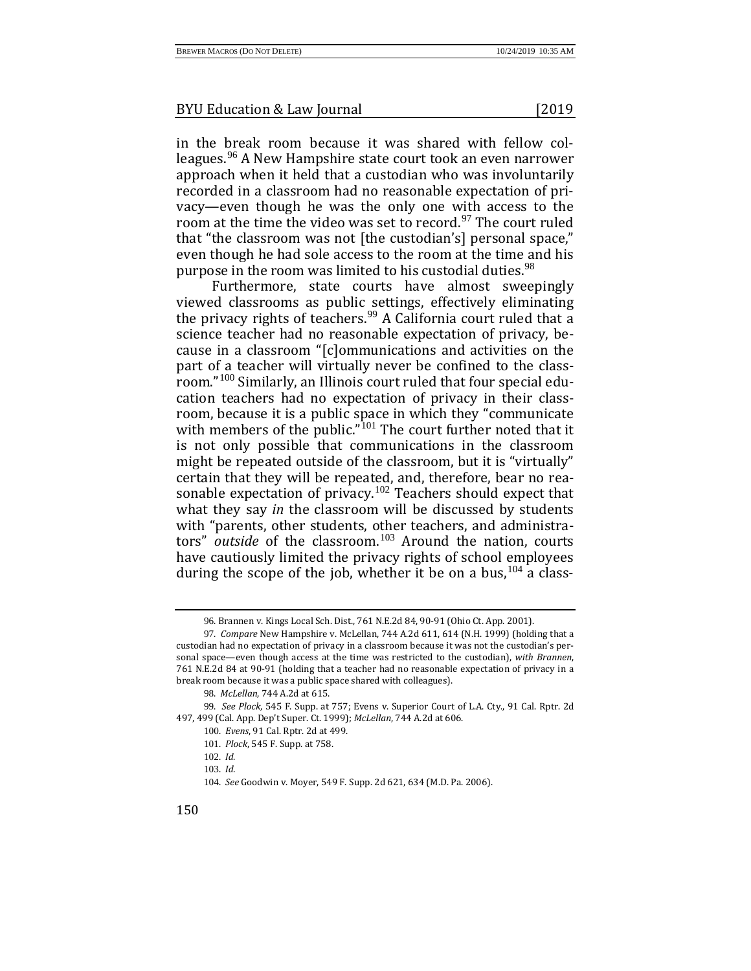in the break room because it was shared with fellow colleagues.[96](#page-12-0) A New Hampshire state court took an even narrower approach when it held that a custodian who was involuntarily recorded in a classroom had no reasonable expectation of privacy—even though he was the only one with access to the room at the time the video was set to record.<sup>[97](#page-12-1)</sup> The court ruled that "the classroom was not [the custodian's] personal space," even though he had sole access to the room at the time and his purpose in the room was limited to his custodial duties.<sup>[98](#page-12-2)</sup>

Furthermore, state courts have almost sweepingly viewed classrooms as public settings, effectively eliminating the privacy rights of teachers.<sup>[99](#page-12-3)</sup> A California court ruled that a science teacher had no reasonable expectation of privacy, because in a classroom "[c]ommunications and activities on the part of a teacher will virtually never be confined to the classroom."[100](#page-12-4) Similarly, an Illinois court ruled that four special education teachers had no expectation of privacy in their classroom, because it is a public space in which they "communicate with members of the public."<sup>[101](#page-12-5)</sup> The court further noted that it is not only possible that communications in the classroom might be repeated outside of the classroom, but it is "virtually" certain that they will be repeated, and, therefore, bear no rea-sonable expectation of privacy.<sup>[102](#page-12-6)</sup> Teachers should expect that what they say *in* the classroom will be discussed by students with "parents, other students, other teachers, and administrators" *outside* of the classroom.<sup>[103](#page-12-7)</sup> Around the nation, courts have cautiously limited the privacy rights of school employees during the scope of the job, whether it be on a bus,  $104$  a class-

<sup>96</sup>. Brannen v. Kings Local Sch. Dist., 761 N.E.2d 84, 90-91 (Ohio Ct. App. 2001).

<span id="page-12-1"></span><span id="page-12-0"></span><sup>97</sup>. *Compare* New Hampshire v. McLellan, 744 A.2d 611, 614 (N.H. 1999) (holding that a custodian had no expectation of privacy in a classroom because it was not the custodian's personal space—even though access at the time was restricted to the custodian), *with Brannen*, 761 N.E.2d 84 at 90-91 (holding that a teacher had no reasonable expectation of privacy in a break room because it was a public space shared with colleagues).

<sup>98</sup>. *McLellan*, 744 A.2d at 615.

<span id="page-12-8"></span><span id="page-12-7"></span><span id="page-12-6"></span><span id="page-12-5"></span><span id="page-12-4"></span><span id="page-12-3"></span><span id="page-12-2"></span><sup>99</sup>. *See Plock*, 545 F. Supp. at 757; Evens v. Superior Court of L.A. Cty., 91 Cal. Rptr. 2d 497, 499 (Cal. App. Dep't Super. Ct. 1999); *McLellan*, 744 A.2d at 606.

<sup>100</sup>. *Evens*, 91 Cal. Rptr. 2d at 499.

<sup>101</sup>. *Plock*, 545 F. Supp. at 758.

<sup>102</sup>. *Id.*

<sup>103</sup>. *Id.*

<sup>104</sup>. *See* Goodwin v. Moyer, 549 F. Supp. 2d 621, 634 (M.D. Pa. 2006).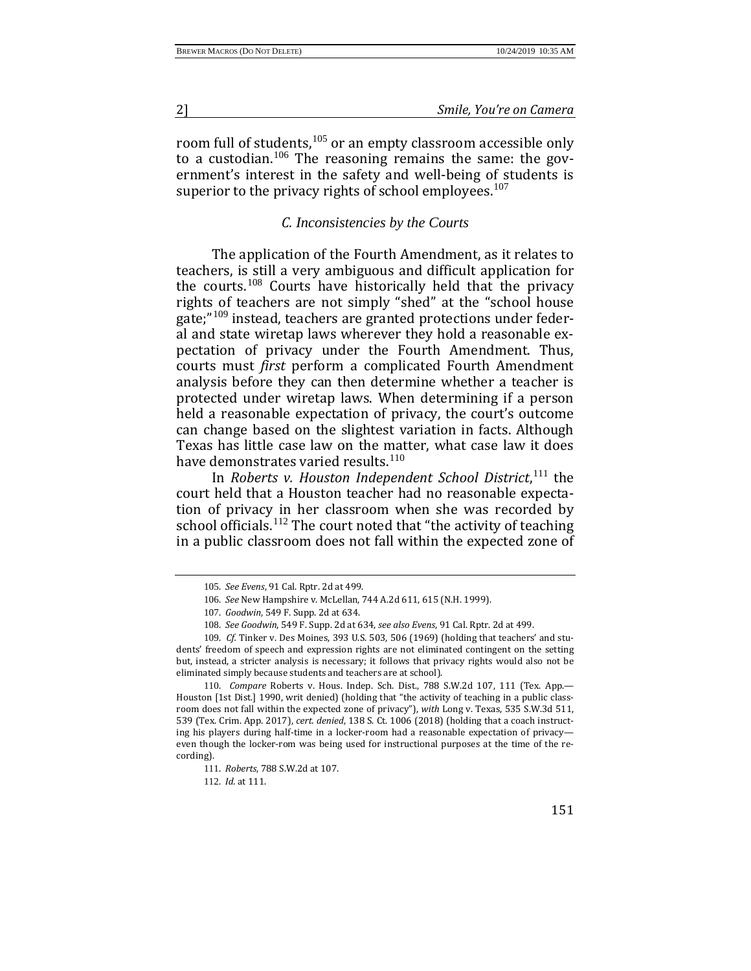room full of students,<sup>[105](#page-13-0)</sup> or an empty classroom accessible only to a custodian.<sup>[106](#page-13-1)</sup> The reasoning remains the same: the government's interest in the safety and well-being of students is superior to the privacy rights of school employees.<sup>[107](#page-13-2)</sup>

#### *C. Inconsistencies by the Courts*

The application of the Fourth Amendment, as it relates to teachers, is still a very ambiguous and difficult application for the courts.[108](#page-13-3) Courts have historically held that the privacy rights of teachers are not simply "shed" at the "school house gate;"[109](#page-13-4) instead, teachers are granted protections under federal and state wiretap laws wherever they hold a reasonable expectation of privacy under the Fourth Amendment. Thus, courts must *first* perform a complicated Fourth Amendment analysis before they can then determine whether a teacher is protected under wiretap laws. When determining if a person held a reasonable expectation of privacy, the court's outcome can change based on the slightest variation in facts. Although Texas has little case law on the matter, what case law it does have demonstrates varied results.<sup>[110](#page-13-5)</sup>

In *Roberts v. Houston Independent School District*, [111](#page-13-6) the court held that a Houston teacher had no reasonable expectation of privacy in her classroom when she was recorded by school officials.<sup>[112](#page-13-7)</sup> The court noted that "the activity of teaching in a public classroom does not fall within the expected zone of

112. *Id.* at 111.

<sup>105</sup>. *See Evens*, 91 Cal. Rptr. 2d at 499.

<sup>106</sup>. *See* New Hampshire v. McLellan, 744 A.2d 611, 615 (N.H. 1999).

<sup>107</sup>. *Goodwin*, 549 F. Supp. 2d at 634.

<sup>108</sup>. *See Goodwin*, 549 F. Supp. 2d at 634, *see also Evens*, 91 Cal. Rptr. 2d at 499.

<span id="page-13-4"></span><span id="page-13-3"></span><span id="page-13-2"></span><span id="page-13-1"></span><span id="page-13-0"></span><sup>109</sup>. *Cf.* Tinker v. Des Moines, 393 U.S. 503, 506 (1969) (holding that teachers' and students' freedom of speech and expression rights are not eliminated contingent on the setting but, instead, a stricter analysis is necessary; it follows that privacy rights would also not be eliminated simply because students and teachers are at school).

<span id="page-13-7"></span><span id="page-13-6"></span><span id="page-13-5"></span><sup>110</sup>. *Compare* Roberts v. Hous. Indep. Sch. Dist., 788 S.W.2d 107, 111 (Tex. App.— Houston [1st Dist.] 1990, writ denied) (holding that "the activity of teaching in a public classroom does not fall within the expected zone of privacy"), *with* Long v. Texas, 535 S.W.3d 511, 539 (Tex. Crim. App. 2017), *cert. denied*, 138 S. Ct. 1006 (2018) (holding that a coach instructing his players during half-time in a locker-room had a reasonable expectation of privacy even though the locker-rom was being used for instructional purposes at the time of the recording).

<sup>111</sup>. *Roberts*, 788 S.W.2d at 107.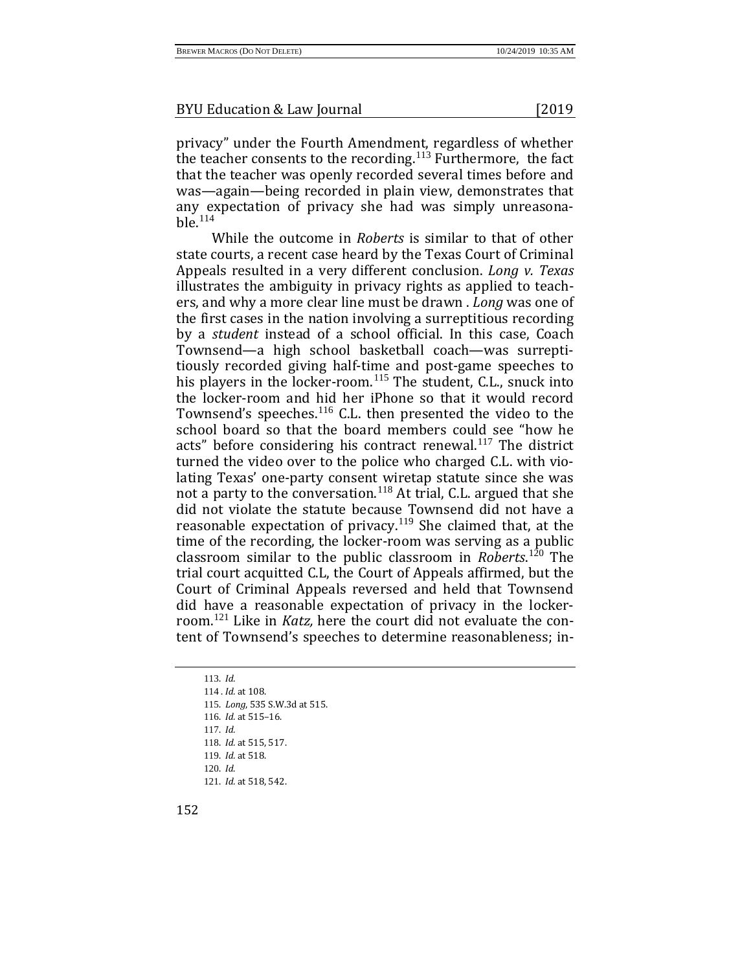privacy" under the Fourth Amendment, regardless of whether the teacher consents to the recording.<sup>[113](#page-14-0)</sup> Furthermore, the fact that the teacher was openly recorded several times before and was—again—being recorded in plain view, demonstrates that any expectation of privacy she had was simply unreasona $b$ le.<sup>[114](#page-14-1)</sup>

While the outcome in *Roberts* is similar to that of other state courts, a recent case heard by the Texas Court of Criminal Appeals resulted in a very different conclusion. *Long v. Texas* illustrates the ambiguity in privacy rights as applied to teachers, and why a more clear line must be drawn . *Long* was one of the first cases in the nation involving a surreptitious recording by a *student* instead of a school official. In this case, Coach Townsend—a high school basketball coach—was surreptitiously recorded giving half-time and post-game speeches to his players in the locker-room.<sup>[115](#page-14-2)</sup> The student, C.L., snuck into the locker-room and hid her iPhone so that it would record Townsend's speeches.<sup>[116](#page-14-3)</sup> C.L. then presented the video to the school board so that the board members could see "how he acts" before considering his contract renewal. $117$  The district turned the video over to the police who charged C.L. with violating Texas' one-party consent wiretap statute since she was not a party to the conversation.<sup>[118](#page-14-5)</sup> At trial, C.L. argued that she did not violate the statute because Townsend did not have a reasonable expectation of privacy.<sup>[119](#page-14-6)</sup> She claimed that, at the time of the recording, the locker-room was serving as a public classroom similar to the public classroom in *Roberts*. [120](#page-14-7) The trial court acquitted C.L, the Court of Appeals affirmed, but the Court of Criminal Appeals reversed and held that Townsend did have a reasonable expectation of privacy in the lockerroom.[121](#page-14-8) Like in *Katz,* here the court did not evaluate the content of Townsend's speeches to determine reasonableness; in-

<span id="page-14-8"></span><span id="page-14-7"></span><span id="page-14-6"></span><span id="page-14-5"></span><span id="page-14-4"></span><span id="page-14-3"></span><span id="page-14-2"></span><span id="page-14-1"></span><span id="page-14-0"></span>113. *Id.* . *Id.* at 108. . *Long*, 535 S.W.3d at 515. . *Id.* at 515–16. 117. *Id.* . *Id.* at 515, 517. . *Id.* at 518. 120. *Id*. . *Id.* at 518, 542.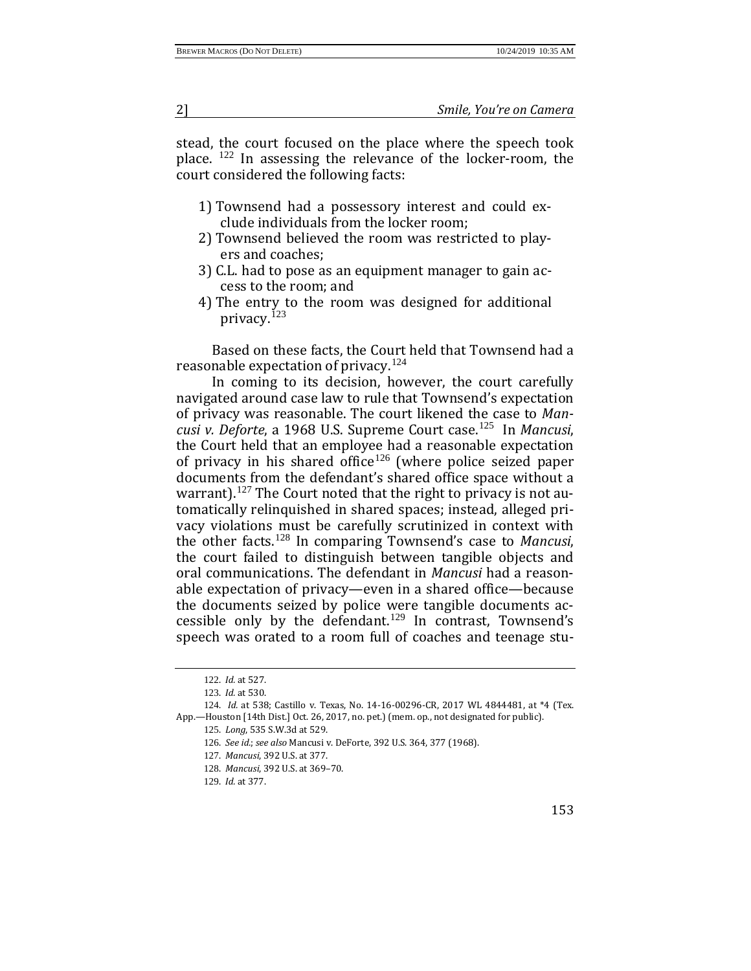stead, the court focused on the place where the speech took place. [122](#page-15-0) In assessing the relevance of the locker-room, the court considered the following facts:

- 1) Townsend had a possessory interest and could exclude individuals from the locker room;
- 2) Townsend believed the room was restricted to players and coaches;
- 3) C.L. had to pose as an equipment manager to gain access to the room; and
- 4) The entry to the room was designed for additional privacy.<sup>[123](#page-15-1)</sup>

Based on these facts, the Court held that Townsend had a reasonable expectation of privacy.[124](#page-15-2)

In coming to its decision, however, the court carefully navigated around case law to rule that Townsend's expectation of privacy was reasonable. The court likened the case to *Mancusi v. Deforte*, a 1968 U.S. Supreme Court case.[125](#page-15-3) In *Mancusi*, the Court held that an employee had a reasonable expectation of privacy in his shared office<sup>[126](#page-15-4)</sup> (where police seized paper documents from the defendant's shared office space without a warrant).<sup>[127](#page-15-5)</sup> The Court noted that the right to privacy is not automatically relinquished in shared spaces; instead, alleged privacy violations must be carefully scrutinized in context with the other facts.[128](#page-15-6) In comparing Townsend's case to *Mancusi*, the court failed to distinguish between tangible objects and oral communications. The defendant in *Mancusi* had a reasonable expectation of privacy—even in a shared office—because the documents seized by police were tangible documents accessible only by the defendant.[129](#page-15-7) In contrast, Townsend's speech was orated to a room full of coaches and teenage stu-

<sup>122</sup>. *Id.* at 527.

<sup>123</sup>. *Id.* at 530.

<span id="page-15-7"></span><span id="page-15-6"></span><span id="page-15-5"></span><span id="page-15-4"></span><span id="page-15-3"></span><span id="page-15-2"></span><span id="page-15-1"></span><span id="page-15-0"></span><sup>124</sup>. *Id.* at 538; Castillo v. Texas, No. 14-16-00296-CR, 2017 WL 4844481, at \*4 (Tex. App.—Houston [14th Dist.] Oct. 26, 2017, no. pet.) (mem. op., not designated for public).

<sup>125</sup>. *Long*, 535 S.W.3d at 529.

<sup>126</sup>. *See id.*; *see also* Mancusi v. DeForte, 392 U.S. 364, 377 (1968).

<sup>127</sup>. *Mancusi*, 392 U.S. at 377.

<sup>128</sup>. *Mancusi*, 392 U.S. at 369–70.

<sup>129</sup>. *Id.* at 377.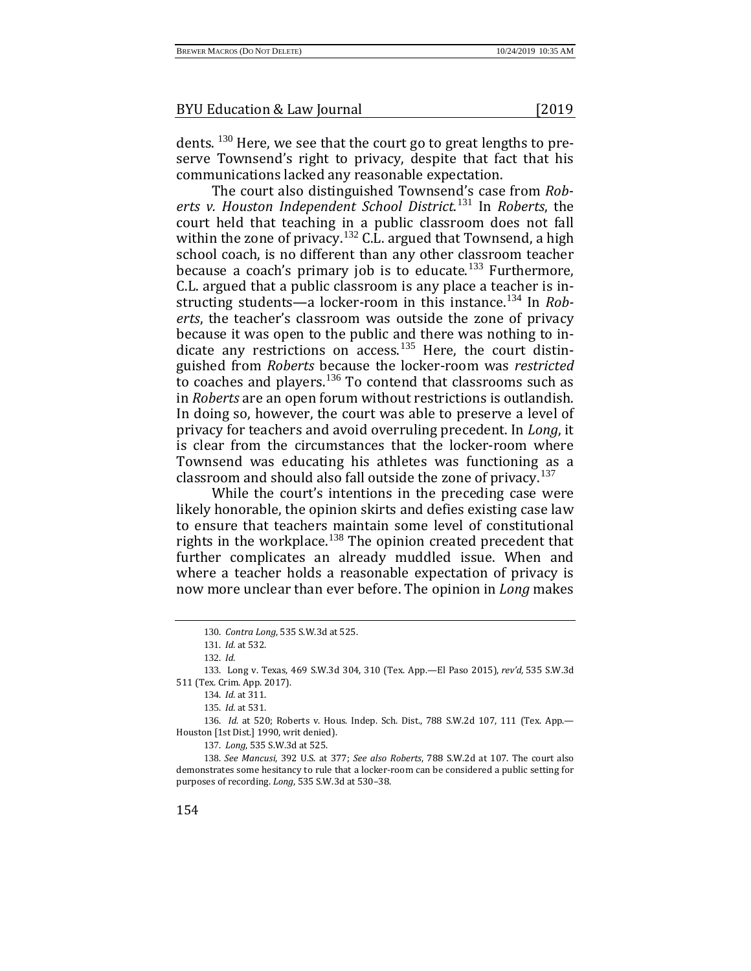The court also distinguished Townsend's case from *Roberts v. Houston Independent School District*. [131](#page-16-1) In *Roberts*, the court held that teaching in a public classroom does not fall within the zone of privacy.<sup>[132](#page-16-2)</sup> C.L. argued that Townsend, a high school coach, is no different than any other classroom teacher because a coach's primary job is to educate.<sup>[133](#page-16-3)</sup> Furthermore, C.L. argued that a public classroom is any place a teacher is in-structing students—a locker-room in this instance.<sup>[134](#page-16-4)</sup> In *Roberts*, the teacher's classroom was outside the zone of privacy because it was open to the public and there was nothing to in-dicate any restrictions on access.<sup>[135](#page-16-5)</sup> Here, the court distinguished from *Roberts* because the locker-room was *restricted* to coaches and players.<sup>[136](#page-16-6)</sup> To contend that classrooms such as in *Roberts* are an open forum without restrictions is outlandish. In doing so, however, the court was able to preserve a level of privacy for teachers and avoid overruling precedent. In *Long*, it is clear from the circumstances that the locker-room where Townsend was educating his athletes was functioning as a classroom and should also fall outside the zone of privacy.<sup>[137](#page-16-7)</sup>

While the court's intentions in the preceding case were likely honorable, the opinion skirts and defies existing case law to ensure that teachers maintain some level of constitutional rights in the workplace.[138](#page-16-8) The opinion created precedent that further complicates an already muddled issue. When and where a teacher holds a reasonable expectation of privacy is now more unclear than ever before. The opinion in *Long* makes

134. *Id.* at 311.

135. *Id.* at 531.

<span id="page-16-6"></span><span id="page-16-5"></span>136. *Id.* at 520; Roberts v. Hous. Indep. Sch. Dist., 788 S.W.2d 107, 111 (Tex. App.— Houston [1st Dist.] 1990, writ denied).

137. *Long*, 535 S.W.3d at 525.

<span id="page-16-8"></span><span id="page-16-7"></span>138. *See Mancusi*, 392 U.S. at 377; *See also Roberts*, 788 S.W.2d at 107. The court also demonstrates some hesitancy to rule that a locker-room can be considered a public setting for purposes of recording. *Long*, 535 S.W.3d at 530–38.

<sup>130</sup>. *Contra Long*, 535 S.W.3d at 525.

<sup>131</sup>. *Id.* at 532.

<sup>132</sup>. *Id.*

<span id="page-16-4"></span><span id="page-16-3"></span><span id="page-16-2"></span><span id="page-16-1"></span><span id="page-16-0"></span><sup>133</sup>. Long v. Texas, 469 S.W.3d 304, 310 (Tex. App.—El Paso 2015), *rev'd,* 535 S.W.3d 511 (Tex. Crim. App. 2017).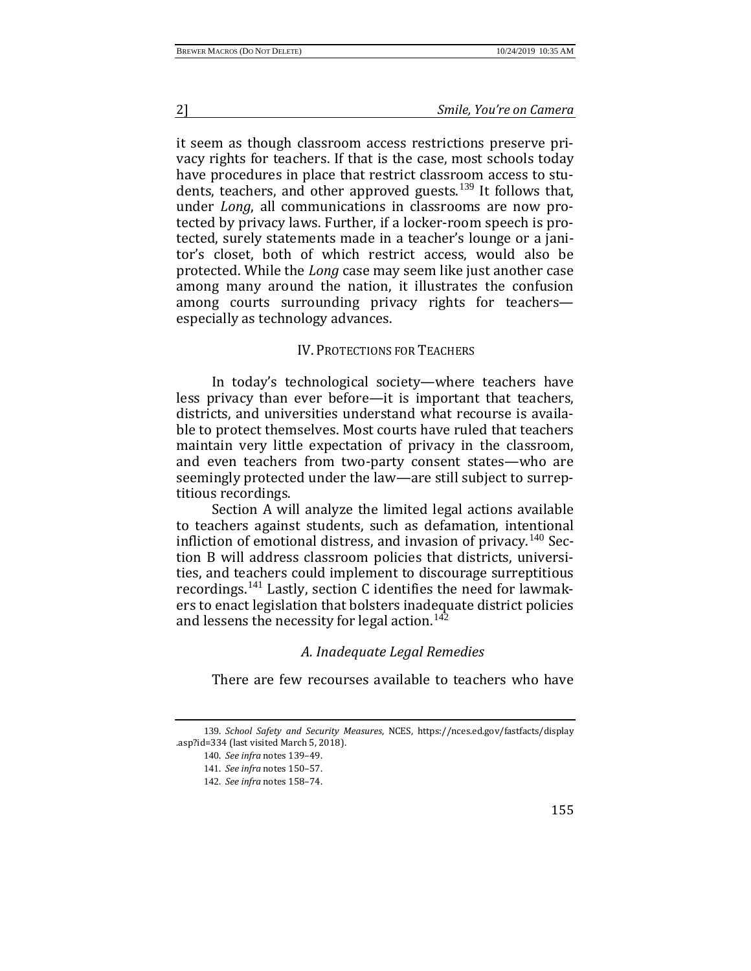it seem as though classroom access restrictions preserve privacy rights for teachers. If that is the case, most schools today have procedures in place that restrict classroom access to students, teachers, and other approved guests.[139](#page-17-0) It follows that, under *Long*, all communications in classrooms are now protected by privacy laws. Further, if a locker-room speech is protected, surely statements made in a teacher's lounge or a janitor's closet, both of which restrict access, would also be protected. While the *Long* case may seem like just another case among many around the nation, it illustrates the confusion among courts surrounding privacy rights for teachers especially as technology advances.

#### IV. PROTECTIONS FOR TEACHERS

In today's technological society—where teachers have less privacy than ever before—it is important that teachers, districts, and universities understand what recourse is available to protect themselves. Most courts have ruled that teachers maintain very little expectation of privacy in the classroom, and even teachers from two-party consent states—who are seemingly protected under the law—are still subject to surreptitious recordings.

Section A will analyze the limited legal actions available to teachers against students, such as defamation, intentional infliction of emotional distress, and invasion of privacy.<sup>[140](#page-17-1)</sup> Section B will address classroom policies that districts, universities, and teachers could implement to discourage surreptitious recordings.[141](#page-17-2) Lastly, section C identifies the need for lawmakers to enact legislation that bolsters inadequate district policies and lessens the necessity for legal action.<sup>[142](#page-17-3)</sup>

## *A. Inadequate Legal Remedies*

There are few recourses available to teachers who have

<span id="page-17-3"></span><span id="page-17-2"></span><span id="page-17-1"></span><span id="page-17-0"></span><sup>139</sup>. *School Safety and Security Measures*, NCES, https://nces.ed.gov/fastfacts/display .asp?id=334 (last visited March 5, 2018).

<sup>140</sup>. *See infra* notes 139–49.

<sup>141</sup>. *See infra* notes 150–57.

<sup>142</sup>. *See infra* notes 158–74.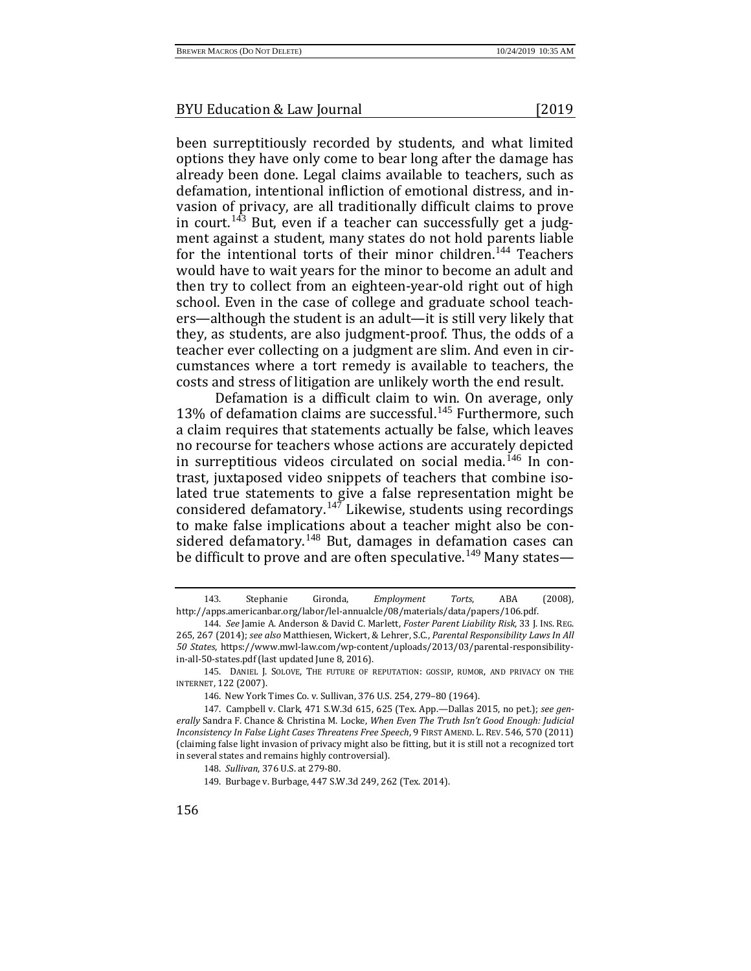been surreptitiously recorded by students, and what limited options they have only come to bear long after the damage has already been done. Legal claims available to teachers, such as defamation, intentional infliction of emotional distress, and invasion of privacy, are all traditionally difficult claims to prove in court.<sup>[143](#page-18-0)</sup> But, even if a teacher can successfully get a judgment against a student, many states do not hold parents liable for the intentional torts of their minor children.<sup>[144](#page-18-1)</sup> Teachers would have to wait years for the minor to become an adult and then try to collect from an eighteen-year-old right out of high school. Even in the case of college and graduate school teachers—although the student is an adult—it is still very likely that they, as students, are also judgment-proof. Thus, the odds of a teacher ever collecting on a judgment are slim. And even in circumstances where a tort remedy is available to teachers, the costs and stress of litigation are unlikely worth the end result.

Defamation is a difficult claim to win. On average, only 13% of defamation claims are successful.<sup>[145](#page-18-2)</sup> Furthermore, such a claim requires that statements actually be false, which leaves no recourse for teachers whose actions are accurately depicted in surreptitious videos circulated on social media.<sup> $146$ </sup> In contrast, juxtaposed video snippets of teachers that combine isolated true statements to give a false representation might be considered defamatory. $147$  Likewise, students using recordings to make false implications about a teacher might also be con-sidered defamatory.<sup>[148](#page-18-5)</sup> But, damages in defamation cases can be difficult to prove and are often speculative.<sup>[149](#page-18-6)</sup> Many states—

<span id="page-18-0"></span><sup>143</sup>. Stephanie Gironda, *Employment Torts*, ABA (2008), http://apps.americanbar.org/labor/lel-annualcle/08/materials/data/papers/106.pdf.

<span id="page-18-1"></span><sup>144</sup>. *See* Jamie A. Anderson & David C. Marlett, *Foster Parent Liability Risk*, 33 J. INS. REG. 265, 267 (2014); *see also* Matthiesen, Wickert, & Lehrer, S.C., *Parental Responsibility Laws In All 50 States*, https://www.mwl-law.com/wp-content/uploads/2013/03/parental-responsibilityin-all-50-states.pdf (last updated June 8, 2016).

<span id="page-18-2"></span><sup>145</sup>. DANIEL J. SOLOVE, THE FUTURE OF REPUTATION: GOSSIP, RUMOR, AND PRIVACY ON THE INTERNET, 122 (2007).

<sup>146</sup>. New York Times Co. v. Sullivan, 376 U.S. 254, 279–80 (1964).

<span id="page-18-6"></span><span id="page-18-5"></span><span id="page-18-4"></span><span id="page-18-3"></span><sup>147</sup>. Campbell v. Clark, 471 S.W.3d 615, 625 (Tex. App.—Dallas 2015, no pet.); *see generally* Sandra F. Chance & Christina M. Locke, *When Even The Truth Isn't Good Enough: Judicial Inconsistency In False Light Cases Threatens Free Speech*, 9 FIRST AMEND. L. REV. 546, 570 (2011) (claiming false light invasion of privacy might also be fitting, but it is still not a recognized tort in several states and remains highly controversial).

<sup>148</sup>. *Sullivan*, 376 U.S. at 279-80.

<sup>149</sup>. Burbage v. Burbage, 447 S.W.3d 249, 262 (Tex. 2014).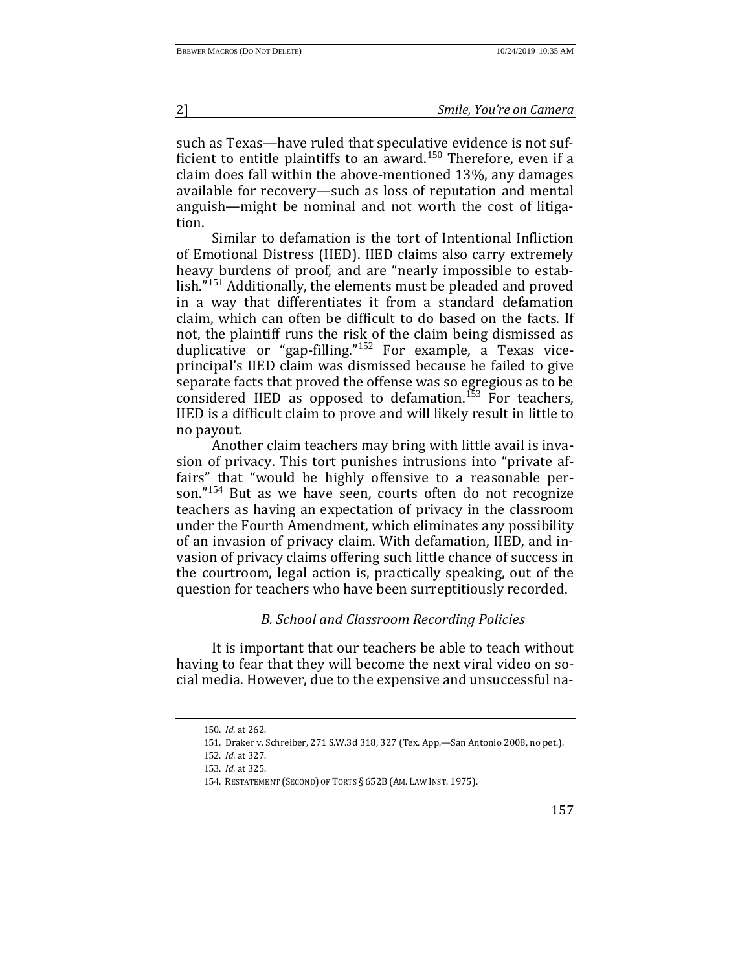such as Texas—have ruled that speculative evidence is not suf-ficient to entitle plaintiffs to an award.<sup>[150](#page-19-0)</sup> Therefore, even if a claim does fall within the above-mentioned 13%, any damages available for recovery—such as loss of reputation and mental anguish—might be nominal and not worth the cost of litigation.

Similar to defamation is the tort of Intentional Infliction of Emotional Distress (IIED). IIED claims also carry extremely heavy burdens of proof, and are "nearly impossible to estab-lish."<sup>[151](#page-19-1)</sup> Additionally, the elements must be pleaded and proved in a way that differentiates it from a standard defamation claim, which can often be difficult to do based on the facts. If not, the plaintiff runs the risk of the claim being dismissed as duplicative or "gap-filling."[152](#page-19-2) For example, a Texas viceprincipal's IIED claim was dismissed because he failed to give separate facts that proved the offense was so egregious as to be considered IIED as opposed to defamation.<sup>[153](#page-19-3)</sup> For teachers, IIED is a difficult claim to prove and will likely result in little to no payout.

Another claim teachers may bring with little avail is invasion of privacy. This tort punishes intrusions into "private affairs" that "would be highly offensive to a reasonable per-son."<sup>[154](#page-19-4)</sup> But as we have seen, courts often do not recognize teachers as having an expectation of privacy in the classroom under the Fourth Amendment, which eliminates any possibility of an invasion of privacy claim. With defamation, IIED, and invasion of privacy claims offering such little chance of success in the courtroom, legal action is, practically speaking, out of the question for teachers who have been surreptitiously recorded.

## *B. School and Classroom Recording Policies*

<span id="page-19-1"></span><span id="page-19-0"></span>It is important that our teachers be able to teach without having to fear that they will become the next viral video on social media. However, due to the expensive and unsuccessful na-

<sup>150</sup>. *Id.* at 262.

<sup>151</sup>. Draker v. Schreiber, 271 S.W.3d 318, 327 (Tex. App.—San Antonio 2008, no pet.).

<sup>152</sup>. *Id.* at 327.

<span id="page-19-4"></span><span id="page-19-3"></span><span id="page-19-2"></span><sup>153</sup>. *Id.* at 325.

<sup>154</sup>. RESTATEMENT (SECOND) OF TORTS § 652B (AM. LAW INST. 1975).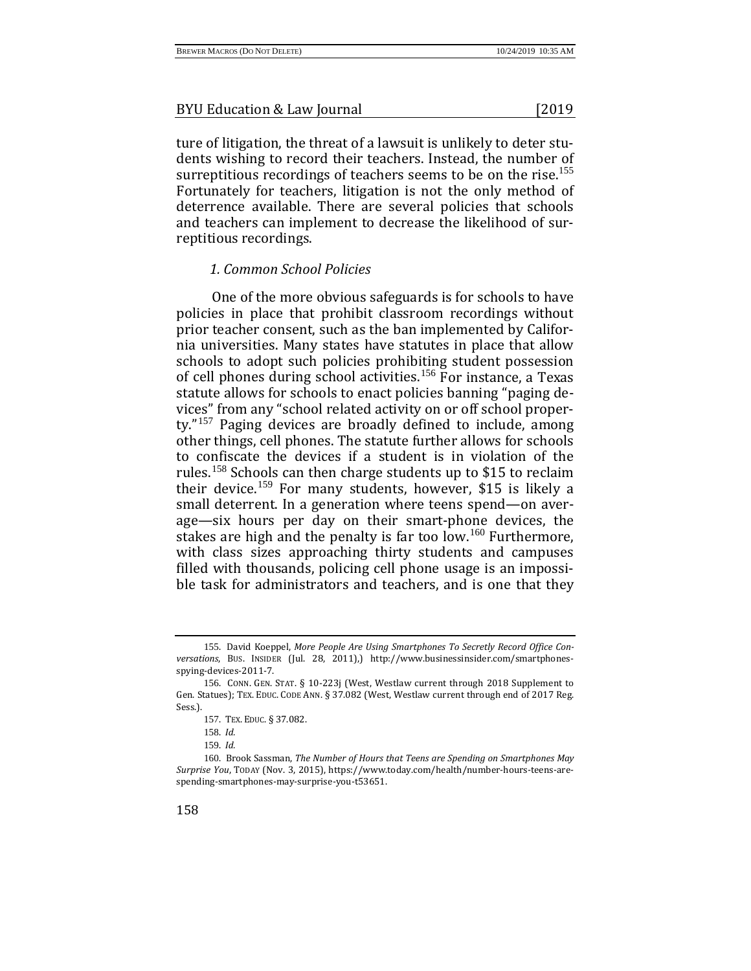ture of litigation, the threat of a lawsuit is unlikely to deter students wishing to record their teachers. Instead, the number of surreptitious recordings of teachers seems to be on the rise.<sup>[155](#page-20-0)</sup> Fortunately for teachers, litigation is not the only method of deterrence available. There are several policies that schools and teachers can implement to decrease the likelihood of surreptitious recordings.

## *1. Common School Policies*

One of the more obvious safeguards is for schools to have policies in place that prohibit classroom recordings without prior teacher consent, such as the ban implemented by California universities. Many states have statutes in place that allow schools to adopt such policies prohibiting student possession of cell phones during school activities.[156](#page-20-1) For instance, a Texas statute allows for schools to enact policies banning "paging devices" from any "school related activity on or off school property."[157](#page-20-2) Paging devices are broadly defined to include, among other things, cell phones. The statute further allows for schools to confiscate the devices if a student is in violation of the rules.[158](#page-20-3) Schools can then charge students up to \$15 to reclaim their device.[159](#page-20-4) For many students, however, \$15 is likely a small deterrent. In a generation where teens spend—on average—six hours per day on their smart-phone devices, the stakes are high and the penalty is far too low.<sup>[160](#page-20-5)</sup> Furthermore, with class sizes approaching thirty students and campuses filled with thousands, policing cell phone usage is an impossible task for administrators and teachers, and is one that they

<span id="page-20-0"></span><sup>155</sup>. David Koeppel, *More People Are Using Smartphones To Secretly Record Office Conversations*, BUS. INSIDER (Jul. 28, 2011),) http://www.businessinsider.com/smartphonesspying-devices-2011-7.

<span id="page-20-2"></span><span id="page-20-1"></span><sup>156</sup>. CONN. GEN. STAT. § 10-223j (West, Westlaw current through 2018 Supplement to Gen. Statues); TEX. EDUC. CODE ANN. § 37.082 (West, Westlaw current through end of 2017 Reg. Sess.).

<sup>157</sup>. TEX. EDUC. § 37.082.

<sup>158</sup>. *Id.*

<sup>159</sup>. *Id.*

<span id="page-20-5"></span><span id="page-20-4"></span><span id="page-20-3"></span><sup>160</sup>. Brook Sassman, *The Number of Hours that Teens are Spending on Smartphones May Surprise You*, TODAY (Nov. 3, 2015), https://www.today.com/health/number-hours-teens-arespending-smartphones-may-surprise-you-t53651.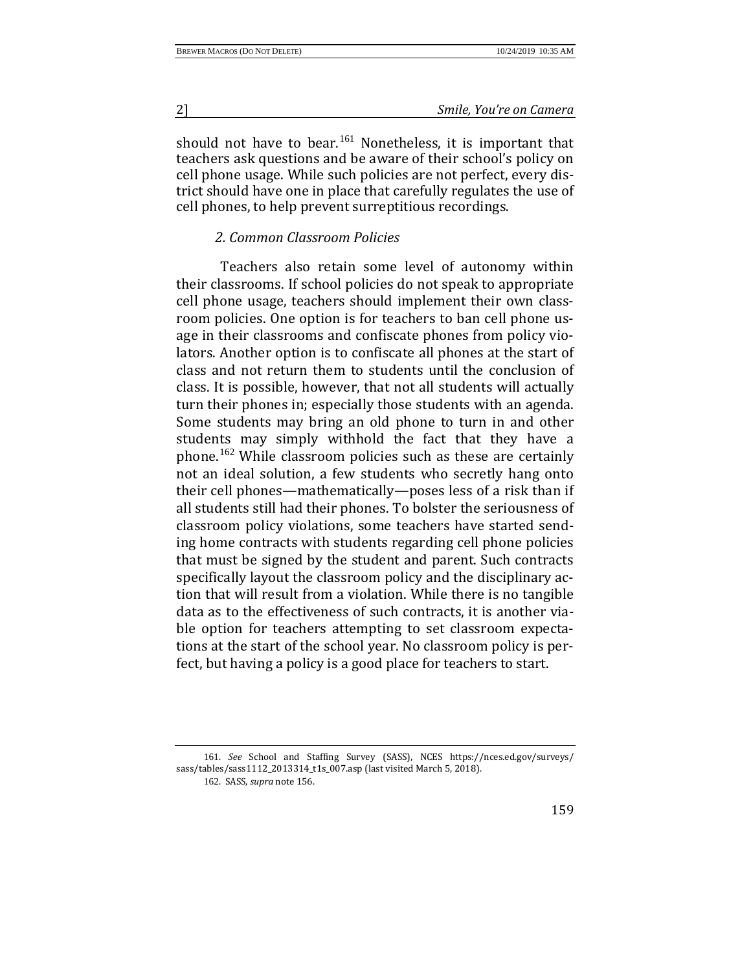should not have to bear.<sup>[161](#page-21-0)</sup> Nonetheless, it is important that teachers ask questions and be aware of their school's policy on cell phone usage. While such policies are not perfect, every district should have one in place that carefully regulates the use of cell phones, to help prevent surreptitious recordings.

## *2. Common Classroom Policies*

Teachers also retain some level of autonomy within their classrooms. If school policies do not speak to appropriate cell phone usage, teachers should implement their own classroom policies. One option is for teachers to ban cell phone usage in their classrooms and confiscate phones from policy violators. Another option is to confiscate all phones at the start of class and not return them to students until the conclusion of class. It is possible, however, that not all students will actually turn their phones in; especially those students with an agenda. Some students may bring an old phone to turn in and other students may simply withhold the fact that they have a phone.[162](#page-21-1) While classroom policies such as these are certainly not an ideal solution, a few students who secretly hang onto their cell phones—mathematically—poses less of a risk than if all students still had their phones. To bolster the seriousness of classroom policy violations, some teachers have started sending home contracts with students regarding cell phone policies that must be signed by the student and parent. Such contracts specifically layout the classroom policy and the disciplinary action that will result from a violation. While there is no tangible data as to the effectiveness of such contracts, it is another viable option for teachers attempting to set classroom expectations at the start of the school year. No classroom policy is perfect, but having a policy is a good place for teachers to start.

<span id="page-21-1"></span><span id="page-21-0"></span><sup>161</sup>. *See* School and Staffing Survey (SASS), NCES https://nces.ed.gov/surveys/ sass/tables/sass1112\_2013314\_t1s\_007.asp (last visited March 5, 2018).

<sup>162</sup>. SASS, *supra* note 156.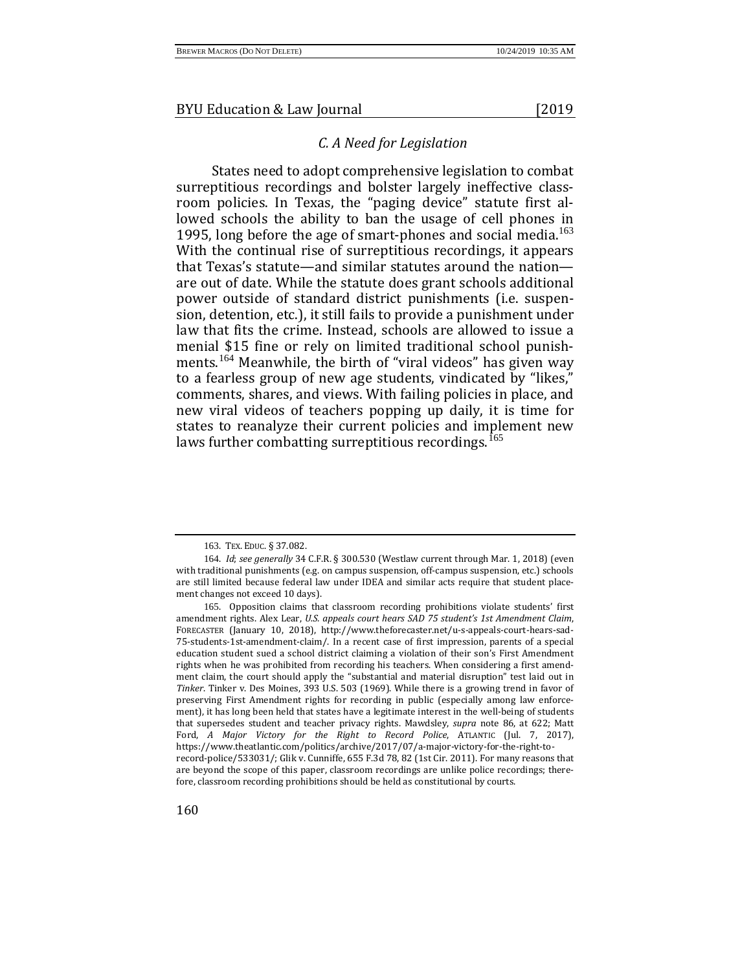## *C. A Need for Legislation*

States need to adopt comprehensive legislation to combat surreptitious recordings and bolster largely ineffective classroom policies. In Texas, the "paging device" statute first allowed schools the ability to ban the usage of cell phones in 1995, long before the age of smart-phones and social media.<sup>[163](#page-22-0)</sup> With the continual rise of surreptitious recordings, it appears that Texas's statute—and similar statutes around the nation are out of date. While the statute does grant schools additional power outside of standard district punishments (i.e. suspension, detention, etc.), it still fails to provide a punishment under law that fits the crime. Instead, schools are allowed to issue a menial \$15 fine or rely on limited traditional school punish-ments.<sup>[164](#page-22-1)</sup> Meanwhile, the birth of "viral videos" has given way to a fearless group of new age students, vindicated by "likes," comments, shares, and views. With failing policies in place, and new viral videos of teachers popping up daily, it is time for states to reanalyze their current policies and implement new laws further combatting surreptitious recordings.<sup>[165](#page-22-2)</sup>

<sup>163</sup>. TEX. EDUC. § 37.082.

<span id="page-22-1"></span><span id="page-22-0"></span><sup>164</sup>. *Id*; *see generally* 34 C.F.R. § 300.530 (Westlaw current through Mar. 1, 2018) (even with traditional punishments (e.g. on campus suspension, off-campus suspension, etc.) schools are still limited because federal law under IDEA and similar acts require that student placement changes not exceed 10 days).

<span id="page-22-2"></span><sup>165</sup>. Opposition claims that classroom recording prohibitions violate students' first amendment rights. Alex Lear, *U.S. appeals court hears SAD 75 student's 1st Amendment Claim*, FORECASTER (January 10, 2018), http://www.theforecaster.net/u-s-appeals-court-hears-sad-75-students-1st-amendment-claim/. In a recent case of first impression, parents of a special education student sued a school district claiming a violation of their son's First Amendment rights when he was prohibited from recording his teachers. When considering a first amendment claim, the court should apply the "substantial and material disruption" test laid out in *Tinker*. Tinker v. Des Moines, 393 U.S. 503 (1969). While there is a growing trend in favor of preserving First Amendment rights for recording in public (especially among law enforcement), it has long been held that states have a legitimate interest in the well-being of students that supersedes student and teacher privacy rights. Mawdsley, *supra* note 86, at 622; Matt Ford, *A Major Victory for the Right to Record Police*, ATLANTIC (Jul. 7, 2017), https://www.theatlantic.com/politics/archive/2017/07/a-major-victory-for-the-right-torecord-police/533031/; Glik v. Cunniffe, 655 F.3d 78, 82 (1st Cir. 2011). For many reasons that are beyond the scope of this paper, classroom recordings are unlike police recordings; therefore, classroom recording prohibitions should be held as constitutional by courts.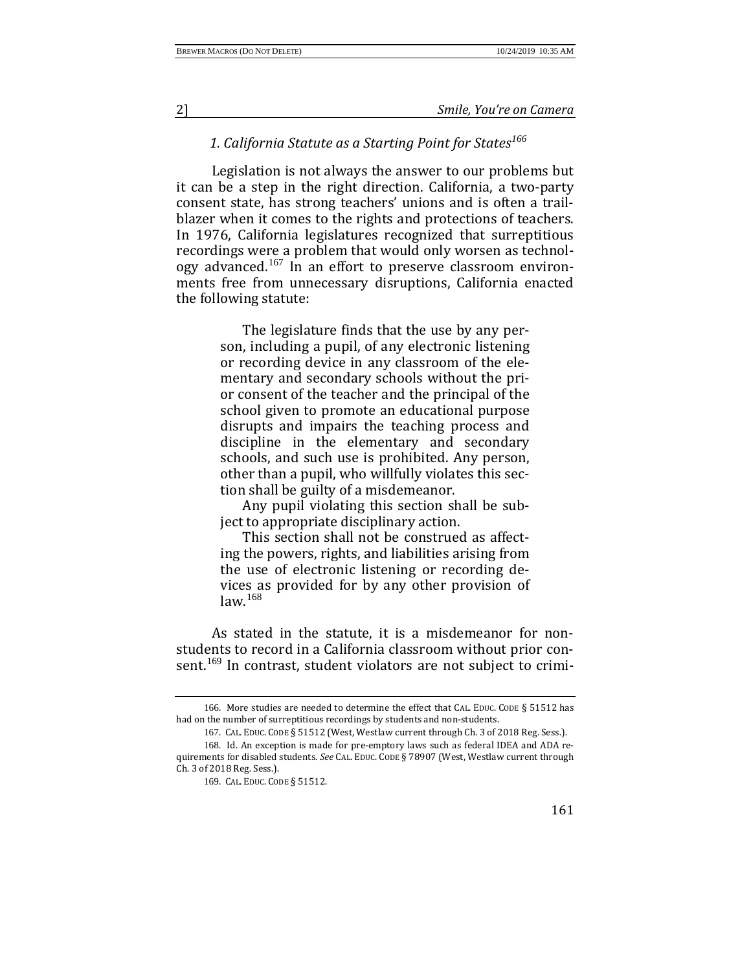## *1. California Statute as a Starting Point for States[166](#page-23-0)*

Legislation is not always the answer to our problems but it can be a step in the right direction. California, a two-party consent state, has strong teachers' unions and is often a trailblazer when it comes to the rights and protections of teachers. In 1976, California legislatures recognized that surreptitious recordings were a problem that would only worsen as technology advanced.[167](#page-23-1) In an effort to preserve classroom environments free from unnecessary disruptions, California enacted the following statute:

> The legislature finds that the use by any person, including a pupil, of any electronic listening or recording device in any classroom of the elementary and secondary schools without the prior consent of the teacher and the principal of the school given to promote an educational purpose disrupts and impairs the teaching process and discipline in the elementary and secondary schools, and such use is prohibited. Any person, other than a pupil, who willfully violates this section shall be guilty of a misdemeanor.

> Any pupil violating this section shall be subject to appropriate disciplinary action.

> This section shall not be construed as affecting the powers, rights, and liabilities arising from the use of electronic listening or recording devices as provided for by any other provision of  $law<sup>168</sup>$  $law<sup>168</sup>$  $law<sup>168</sup>$

As stated in the statute, it is a misdemeanor for nonstudents to record in a California classroom without prior con-sent.<sup>[169](#page-23-3)</sup> In contrast, student violators are not subject to crimi-

<span id="page-23-0"></span><sup>166</sup>. More studies are needed to determine the effect that CAL. EDUC. CODE § 51512 has had on the number of surreptitious recordings by students and non-students.

<sup>167</sup>. CAL. EDUC. CODE § 51512 (West, Westlaw current through Ch. 3 of 2018 Reg. Sess.).

<span id="page-23-3"></span><span id="page-23-2"></span><span id="page-23-1"></span><sup>168</sup>. Id. An exception is made for pre-emptory laws such as federal IDEA and ADA requirements for disabled students. *See* CAL. EDUC. CODE § 78907 (West, Westlaw current through Ch. 3 of 2018 Reg. Sess.).

<sup>169</sup>. CAL. EDUC. CODE § 51512.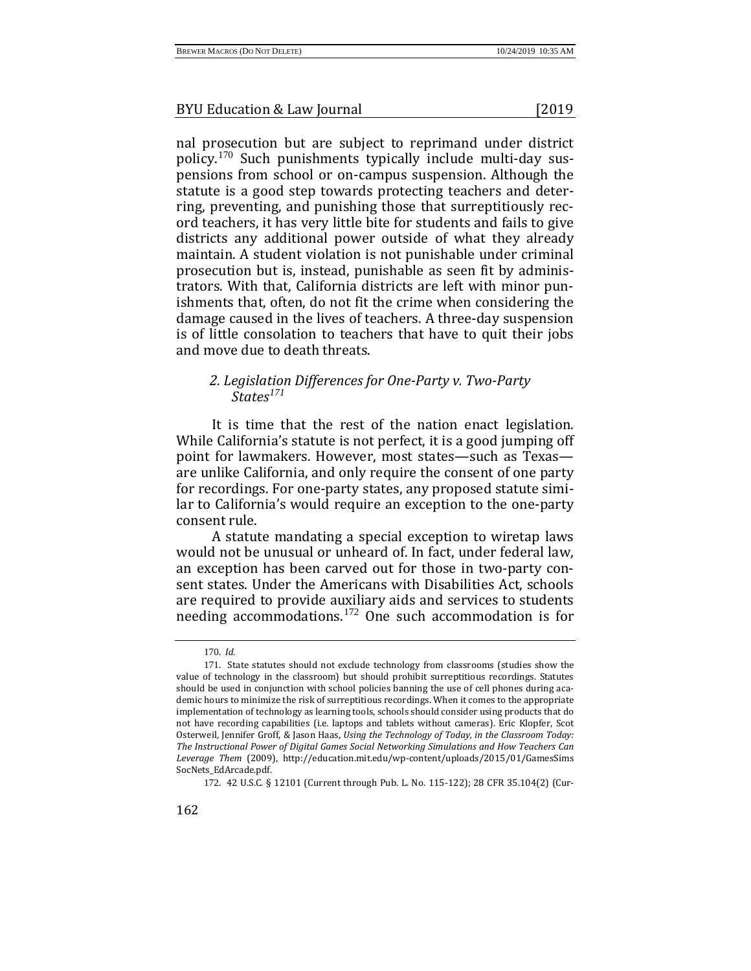nal prosecution but are subject to reprimand under district policy.[170](#page-24-0) Such punishments typically include multi-day suspensions from school or on-campus suspension. Although the statute is a good step towards protecting teachers and deterring, preventing, and punishing those that surreptitiously record teachers, it has very little bite for students and fails to give districts any additional power outside of what they already maintain. A student violation is not punishable under criminal prosecution but is, instead, punishable as seen fit by administrators. With that, California districts are left with minor punishments that, often, do not fit the crime when considering the damage caused in the lives of teachers. A three-day suspension is of little consolation to teachers that have to quit their jobs and move due to death threats.

## *2. Legislation Differences for One-Party v. Two-Party States[171](#page-24-1)*

It is time that the rest of the nation enact legislation. While California's statute is not perfect, it is a good jumping off point for lawmakers. However, most states—such as Texas are unlike California, and only require the consent of one party for recordings. For one-party states, any proposed statute similar to California's would require an exception to the one-party consent rule.

A statute mandating a special exception to wiretap laws would not be unusual or unheard of. In fact, under federal law, an exception has been carved out for those in two-party consent states. Under the Americans with Disabilities Act, schools are required to provide auxiliary aids and services to students needing accommodations.[172](#page-24-2) One such accommodation is for

<span id="page-24-2"></span>162

<sup>170</sup>. *Id.*

<span id="page-24-1"></span><span id="page-24-0"></span><sup>171</sup>. State statutes should not exclude technology from classrooms (studies show the value of technology in the classroom) but should prohibit surreptitious recordings. Statutes should be used in conjunction with school policies banning the use of cell phones during academic hours to minimize the risk of surreptitious recordings. When it comes to the appropriate implementation of technology as learning tools, schools should consider using products that do not have recording capabilities (i.e. laptops and tablets without cameras). Eric Klopfer, Scot Osterweil, Jennifer Groff, & Jason Haas, *Using the Technology of Today, in the Classroom Today: The Instructional Power of Digital Games Social Networking Simulations and How Teachers Can Leverage Them* (2009), http://education.mit.edu/wp-content/uploads/2015/01/GamesSims SocNets\_EdArcade.pdf.

<sup>172</sup>. 42 U.S.C. § 12101 (Current through Pub. L. No. 115-122); 28 CFR 35.104(2) (Cur-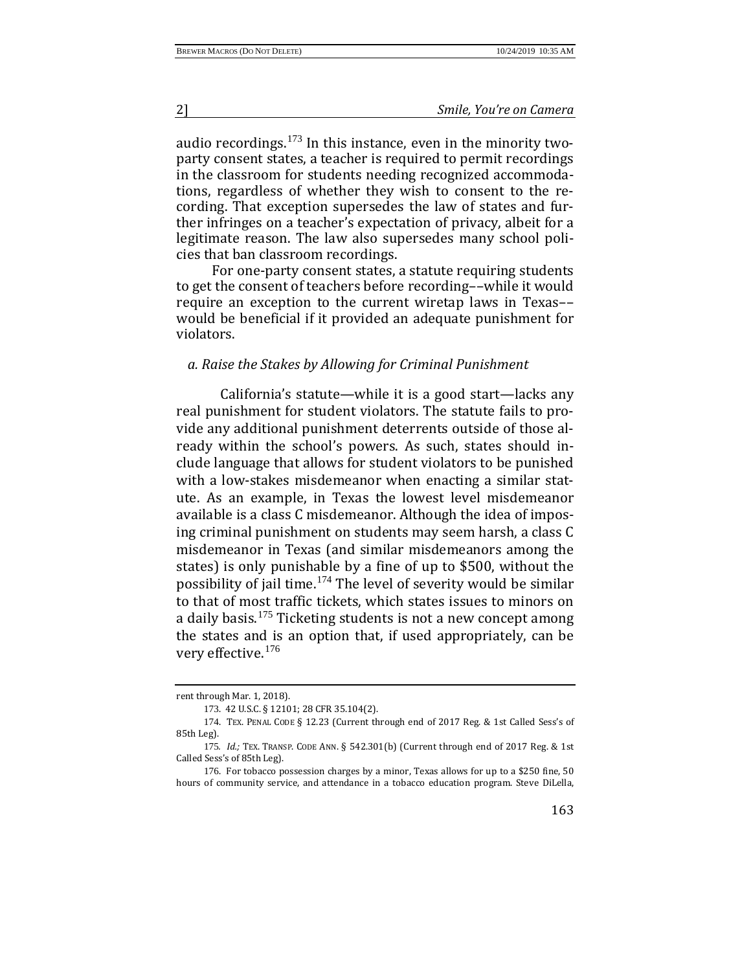audio recordings. $173$  In this instance, even in the minority twoparty consent states, a teacher is required to permit recordings in the classroom for students needing recognized accommodations, regardless of whether they wish to consent to the recording. That exception supersedes the law of states and further infringes on a teacher's expectation of privacy, albeit for a legitimate reason. The law also supersedes many school policies that ban classroom recordings.

For one-party consent states, a statute requiring students to get the consent of teachers before recording––while it would require an exception to the current wiretap laws in Texas–– would be beneficial if it provided an adequate punishment for violators.

#### *a. Raise the Stakes by Allowing for Criminal Punishment*

California's statute—while it is a good start—lacks any real punishment for student violators. The statute fails to provide any additional punishment deterrents outside of those already within the school's powers. As such, states should include language that allows for student violators to be punished with a low-stakes misdemeanor when enacting a similar statute. As an example, in Texas the lowest level misdemeanor available is a class C misdemeanor. Although the idea of imposing criminal punishment on students may seem harsh, a class C misdemeanor in Texas (and similar misdemeanors among the states) is only punishable by a fine of up to \$500, without the possibility of jail time.<sup>[174](#page-25-1)</sup> The level of severity would be similar to that of most traffic tickets, which states issues to minors on a daily basis.<sup>[175](#page-25-2)</sup> Ticketing students is not a new concept among the states and is an option that, if used appropriately, can be very effective.[176](#page-25-3)

rent through Mar. 1, 2018).

<sup>173</sup>. 42 U.S.C. § 12101; 28 CFR 35.104(2).

<span id="page-25-1"></span><span id="page-25-0"></span><sup>174</sup>. TEX. PENAL CODE § 12.23 (Current through end of 2017 Reg. & 1st Called Sess's of 85th Leg).

<span id="page-25-2"></span><sup>175</sup>*. Id.;* TEX. TRANSP. CODE ANN. § 542.301(b) (Current through end of 2017 Reg. & 1st Called Sess's of 85th Leg).

<span id="page-25-3"></span><sup>176</sup>. For tobacco possession charges by a minor, Texas allows for up to a \$250 fine, 50 hours of community service, and attendance in a tobacco education program. Steve DiLella,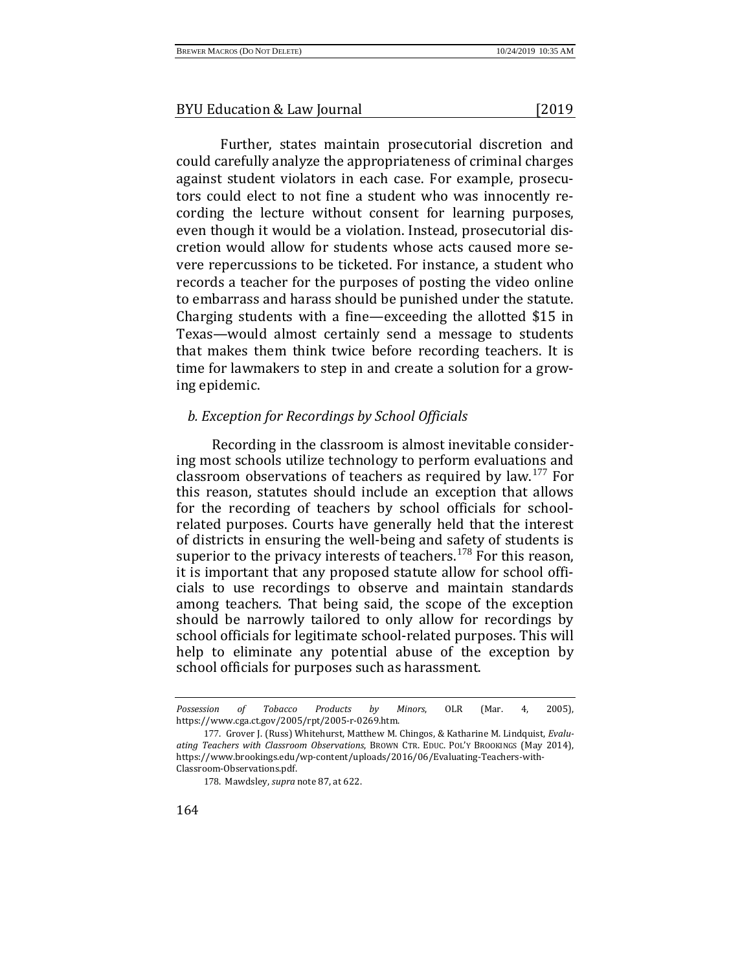Further, states maintain prosecutorial discretion and could carefully analyze the appropriateness of criminal charges against student violators in each case. For example, prosecutors could elect to not fine a student who was innocently recording the lecture without consent for learning purposes, even though it would be a violation. Instead, prosecutorial discretion would allow for students whose acts caused more severe repercussions to be ticketed. For instance, a student who records a teacher for the purposes of posting the video online to embarrass and harass should be punished under the statute. Charging students with a fine—exceeding the allotted \$15 in Texas—would almost certainly send a message to students that makes them think twice before recording teachers. It is time for lawmakers to step in and create a solution for a growing epidemic.

# *b. Exception for Recordings by School Officials*

Recording in the classroom is almost inevitable considering most schools utilize technology to perform evaluations and classroom observations of teachers as required by law.[177](#page-26-0) For this reason, statutes should include an exception that allows for the recording of teachers by school officials for schoolrelated purposes. Courts have generally held that the interest of districts in ensuring the well-being and safety of students is superior to the privacy interests of teachers.<sup>[178](#page-26-1)</sup> For this reason, it is important that any proposed statute allow for school officials to use recordings to observe and maintain standards among teachers. That being said, the scope of the exception should be narrowly tailored to only allow for recordings by school officials for legitimate school-related purposes. This will help to eliminate any potential abuse of the exception by school officials for purposes such as harassment.

*Possession of Tobacco Products by Minors*, OLR (Mar. 4, 2005), https://www.cga.ct.gov/2005/rpt/2005-r-0269.htm.

<span id="page-26-1"></span><span id="page-26-0"></span><sup>177</sup>. Grover J. (Russ) Whitehurst, Matthew M. Chingos, & Katharine M. Lindquist, *Evaluating Teachers with Classroom Observations*, BROWN CTR. EDUC. POL'Y BROOKINGS (May 2014), https://www.brookings.edu/wp-content/uploads/2016/06/Evaluating-Teachers-with-Classroom-Observations.pdf.

<sup>178</sup>. Mawdsley, *supra* note 87, at 622.